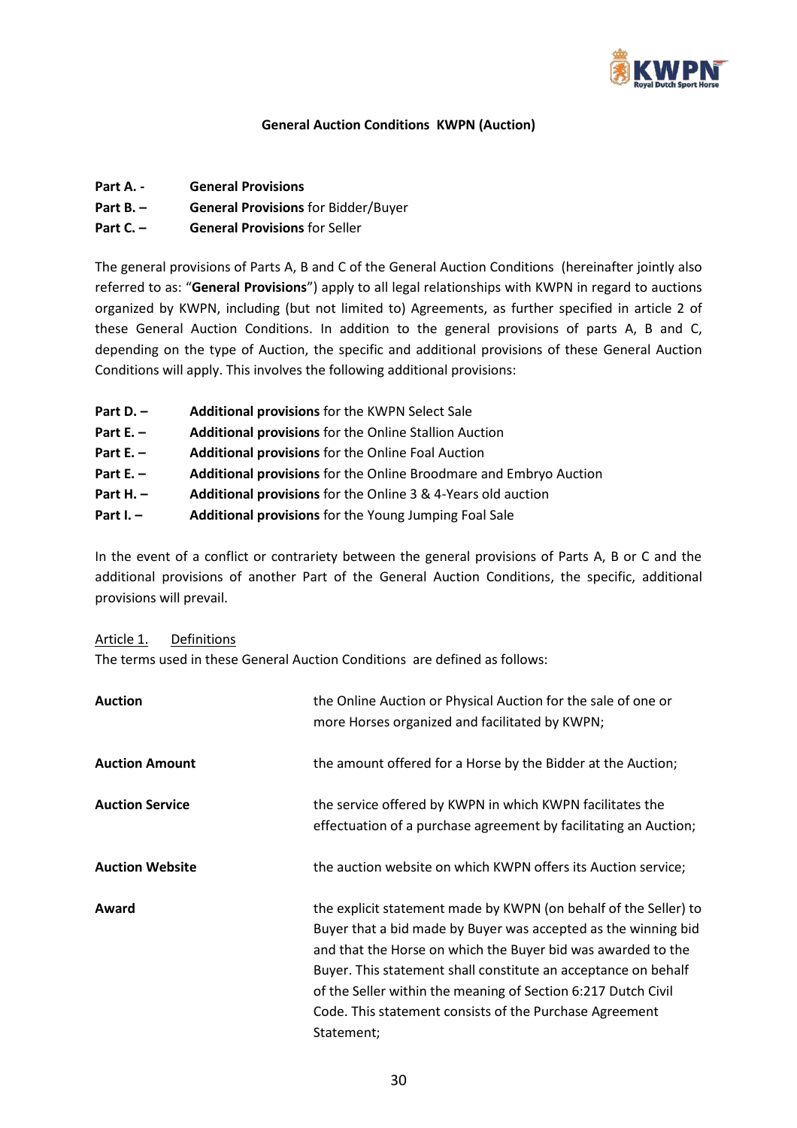

#### **General Auction Conditions KWPN (Auction)**

- **Part A. - General Provisions**
- **Part B. – General Provisions** for Bidder/Buyer
- **Part C. – General Provisions** for Seller

The general provisions of Parts A, B and C of the General Auction Conditions (hereinafter jointly also referred to as: "**General Provisions**") apply to all legal relationships with KWPN in regard to auctions organized by KWPN, including (but not limited to) Agreements, as further specified in article 2 of these General Auction Conditions. In addition to the general provisions of parts A, B and C, depending on the type of Auction, the specific and additional provisions of these General Auction Conditions will apply. This involves the following additional provisions:

- **Part D. – Additional provisions** for the KWPN Select Sale
- **Part E. Additional provisions** for the Online Stallion Auction
- **Part E. <br><b>Additional provisions** for the Online Foal Auction
- **Part E. – Additional provisions** for the Online Broodmare and Embryo Auction
- **Part H. Additional provisions** for the Online 3 & 4-Years old auction
- **Part I. <b>Additional provisions** for the Young Jumping Foal Sale

In the event of a conflict or contrariety between the general provisions of Parts A, B or C and the additional provisions of another Part of the General Auction Conditions, the specific, additional provisions will prevail.

Article 1. Definitions

The terms used in these General Auction Conditions are defined as follows:

| <b>Auction</b>         | the Online Auction or Physical Auction for the sale of one or<br>more Horses organized and facilitated by KWPN;                                                                                                                                                                                                                                                                                                |
|------------------------|----------------------------------------------------------------------------------------------------------------------------------------------------------------------------------------------------------------------------------------------------------------------------------------------------------------------------------------------------------------------------------------------------------------|
| <b>Auction Amount</b>  | the amount offered for a Horse by the Bidder at the Auction;                                                                                                                                                                                                                                                                                                                                                   |
| <b>Auction Service</b> | the service offered by KWPN in which KWPN facilitates the<br>effectuation of a purchase agreement by facilitating an Auction;                                                                                                                                                                                                                                                                                  |
| <b>Auction Website</b> | the auction website on which KWPN offers its Auction service;                                                                                                                                                                                                                                                                                                                                                  |
| Award                  | the explicit statement made by KWPN (on behalf of the Seller) to<br>Buyer that a bid made by Buyer was accepted as the winning bid<br>and that the Horse on which the Buyer bid was awarded to the<br>Buyer. This statement shall constitute an acceptance on behalf<br>of the Seller within the meaning of Section 6:217 Dutch Civil<br>Code. This statement consists of the Purchase Agreement<br>Statement; |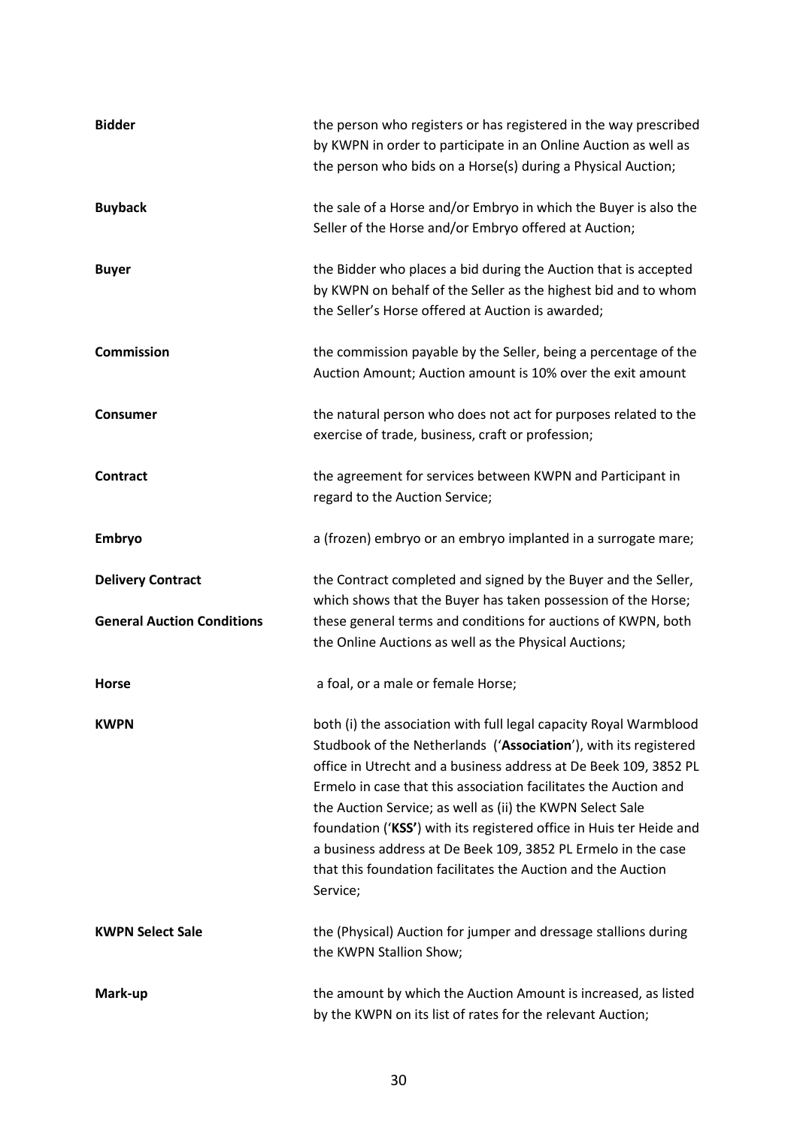| <b>Bidder</b>                     | the person who registers or has registered in the way prescribed<br>by KWPN in order to participate in an Online Auction as well as<br>the person who bids on a Horse(s) during a Physical Auction;                                                                                                                                                                                                                                                                                                                                                            |
|-----------------------------------|----------------------------------------------------------------------------------------------------------------------------------------------------------------------------------------------------------------------------------------------------------------------------------------------------------------------------------------------------------------------------------------------------------------------------------------------------------------------------------------------------------------------------------------------------------------|
| <b>Buyback</b>                    | the sale of a Horse and/or Embryo in which the Buyer is also the<br>Seller of the Horse and/or Embryo offered at Auction;                                                                                                                                                                                                                                                                                                                                                                                                                                      |
| <b>Buyer</b>                      | the Bidder who places a bid during the Auction that is accepted<br>by KWPN on behalf of the Seller as the highest bid and to whom<br>the Seller's Horse offered at Auction is awarded;                                                                                                                                                                                                                                                                                                                                                                         |
| <b>Commission</b>                 | the commission payable by the Seller, being a percentage of the<br>Auction Amount; Auction amount is 10% over the exit amount                                                                                                                                                                                                                                                                                                                                                                                                                                  |
| <b>Consumer</b>                   | the natural person who does not act for purposes related to the<br>exercise of trade, business, craft or profession;                                                                                                                                                                                                                                                                                                                                                                                                                                           |
| <b>Contract</b>                   | the agreement for services between KWPN and Participant in<br>regard to the Auction Service;                                                                                                                                                                                                                                                                                                                                                                                                                                                                   |
| Embryo                            | a (frozen) embryo or an embryo implanted in a surrogate mare;                                                                                                                                                                                                                                                                                                                                                                                                                                                                                                  |
| <b>Delivery Contract</b>          | the Contract completed and signed by the Buyer and the Seller,<br>which shows that the Buyer has taken possession of the Horse;                                                                                                                                                                                                                                                                                                                                                                                                                                |
| <b>General Auction Conditions</b> | these general terms and conditions for auctions of KWPN, both<br>the Online Auctions as well as the Physical Auctions;                                                                                                                                                                                                                                                                                                                                                                                                                                         |
| <b>Horse</b>                      | a foal, or a male or female Horse;                                                                                                                                                                                                                                                                                                                                                                                                                                                                                                                             |
| <b>KWPN</b>                       | both (i) the association with full legal capacity Royal Warmblood<br>Studbook of the Netherlands ('Association'), with its registered<br>office in Utrecht and a business address at De Beek 109, 3852 PL<br>Ermelo in case that this association facilitates the Auction and<br>the Auction Service; as well as (ii) the KWPN Select Sale<br>foundation ('KSS') with its registered office in Huis ter Heide and<br>a business address at De Beek 109, 3852 PL Ermelo in the case<br>that this foundation facilitates the Auction and the Auction<br>Service; |
| <b>KWPN Select Sale</b>           | the (Physical) Auction for jumper and dressage stallions during<br>the KWPN Stallion Show;                                                                                                                                                                                                                                                                                                                                                                                                                                                                     |
| Mark-up                           | the amount by which the Auction Amount is increased, as listed<br>by the KWPN on its list of rates for the relevant Auction;                                                                                                                                                                                                                                                                                                                                                                                                                                   |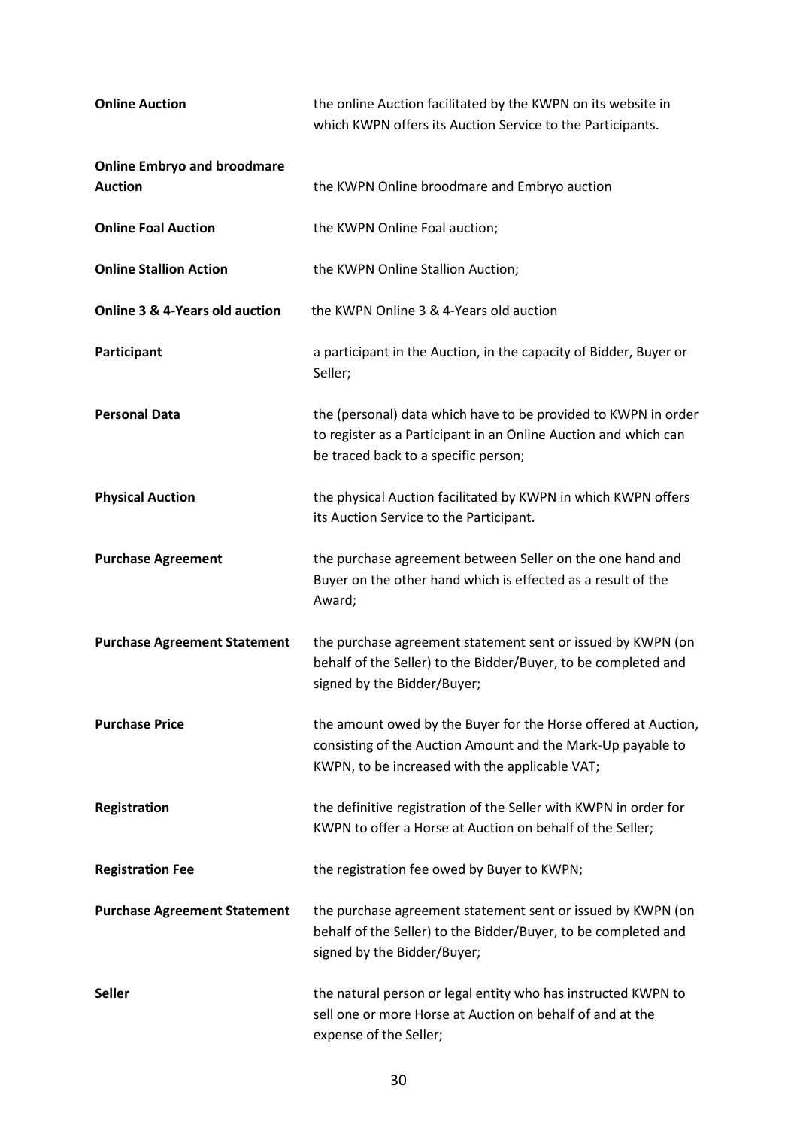| <b>Online Auction</b>                     | the online Auction facilitated by the KWPN on its website in<br>which KWPN offers its Auction Service to the Participants.                                                      |
|-------------------------------------------|---------------------------------------------------------------------------------------------------------------------------------------------------------------------------------|
| <b>Online Embryo and broodmare</b>        |                                                                                                                                                                                 |
| <b>Auction</b>                            | the KWPN Online broodmare and Embryo auction                                                                                                                                    |
| <b>Online Foal Auction</b>                | the KWPN Online Foal auction;                                                                                                                                                   |
| <b>Online Stallion Action</b>             | the KWPN Online Stallion Auction;                                                                                                                                               |
| <b>Online 3 &amp; 4-Years old auction</b> | the KWPN Online 3 & 4-Years old auction                                                                                                                                         |
| Participant                               | a participant in the Auction, in the capacity of Bidder, Buyer or<br>Seller;                                                                                                    |
| <b>Personal Data</b>                      | the (personal) data which have to be provided to KWPN in order<br>to register as a Participant in an Online Auction and which can<br>be traced back to a specific person;       |
| <b>Physical Auction</b>                   | the physical Auction facilitated by KWPN in which KWPN offers<br>its Auction Service to the Participant.                                                                        |
| <b>Purchase Agreement</b>                 | the purchase agreement between Seller on the one hand and<br>Buyer on the other hand which is effected as a result of the<br>Award;                                             |
| <b>Purchase Agreement Statement</b>       | the purchase agreement statement sent or issued by KWPN (on<br>behalf of the Seller) to the Bidder/Buyer, to be completed and<br>signed by the Bidder/Buyer;                    |
| <b>Purchase Price</b>                     | the amount owed by the Buyer for the Horse offered at Auction,<br>consisting of the Auction Amount and the Mark-Up payable to<br>KWPN, to be increased with the applicable VAT; |
| Registration                              | the definitive registration of the Seller with KWPN in order for<br>KWPN to offer a Horse at Auction on behalf of the Seller;                                                   |
| <b>Registration Fee</b>                   | the registration fee owed by Buyer to KWPN;                                                                                                                                     |
| <b>Purchase Agreement Statement</b>       | the purchase agreement statement sent or issued by KWPN (on<br>behalf of the Seller) to the Bidder/Buyer, to be completed and<br>signed by the Bidder/Buyer;                    |
| <b>Seller</b>                             | the natural person or legal entity who has instructed KWPN to<br>sell one or more Horse at Auction on behalf of and at the<br>expense of the Seller;                            |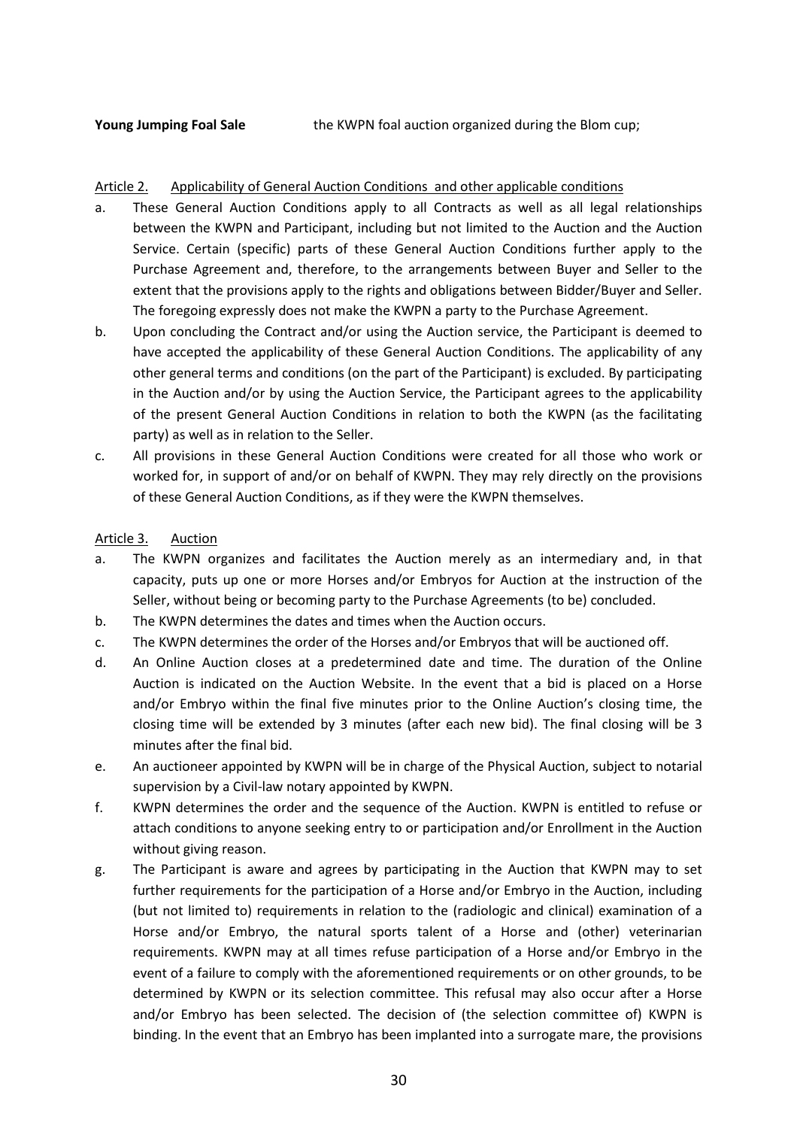**Young Jumping Foal Sale** the KWPN foal auction organized during the Blom cup;

#### Article 2. Applicability of General Auction Conditions and other applicable conditions

- a. These General Auction Conditions apply to all Contracts as well as all legal relationships between the KWPN and Participant, including but not limited to the Auction and the Auction Service. Certain (specific) parts of these General Auction Conditions further apply to the Purchase Agreement and, therefore, to the arrangements between Buyer and Seller to the extent that the provisions apply to the rights and obligations between Bidder/Buyer and Seller. The foregoing expressly does not make the KWPN a party to the Purchase Agreement.
- b. Upon concluding the Contract and/or using the Auction service, the Participant is deemed to have accepted the applicability of these General Auction Conditions. The applicability of any other general terms and conditions (on the part of the Participant) is excluded. By participating in the Auction and/or by using the Auction Service, the Participant agrees to the applicability of the present General Auction Conditions in relation to both the KWPN (as the facilitating party) as well as in relation to the Seller.
- c. All provisions in these General Auction Conditions were created for all those who work or worked for, in support of and/or on behalf of KWPN. They may rely directly on the provisions of these General Auction Conditions, as if they were the KWPN themselves.

#### Article 3. Auction

- a. The KWPN organizes and facilitates the Auction merely as an intermediary and, in that capacity, puts up one or more Horses and/or Embryos for Auction at the instruction of the Seller, without being or becoming party to the Purchase Agreements (to be) concluded.
- b. The KWPN determines the dates and times when the Auction occurs.
- c. The KWPN determines the order of the Horses and/or Embryos that will be auctioned off.
- d. An Online Auction closes at a predetermined date and time. The duration of the Online Auction is indicated on the Auction Website. In the event that a bid is placed on a Horse and/or Embryo within the final five minutes prior to the Online Auction's closing time, the closing time will be extended by 3 minutes (after each new bid). The final closing will be 3 minutes after the final bid.
- e. An auctioneer appointed by KWPN will be in charge of the Physical Auction, subject to notarial supervision by a Civil-law notary appointed by KWPN.
- f. KWPN determines the order and the sequence of the Auction. KWPN is entitled to refuse or attach conditions to anyone seeking entry to or participation and/or Enrollment in the Auction without giving reason.
- g. The Participant is aware and agrees by participating in the Auction that KWPN may to set further requirements for the participation of a Horse and/or Embryo in the Auction, including (but not limited to) requirements in relation to the (radiologic and clinical) examination of a Horse and/or Embryo, the natural sports talent of a Horse and (other) veterinarian requirements. KWPN may at all times refuse participation of a Horse and/or Embryo in the event of a failure to comply with the aforementioned requirements or on other grounds, to be determined by KWPN or its selection committee. This refusal may also occur after a Horse and/or Embryo has been selected. The decision of (the selection committee of) KWPN is binding. In the event that an Embryo has been implanted into a surrogate mare, the provisions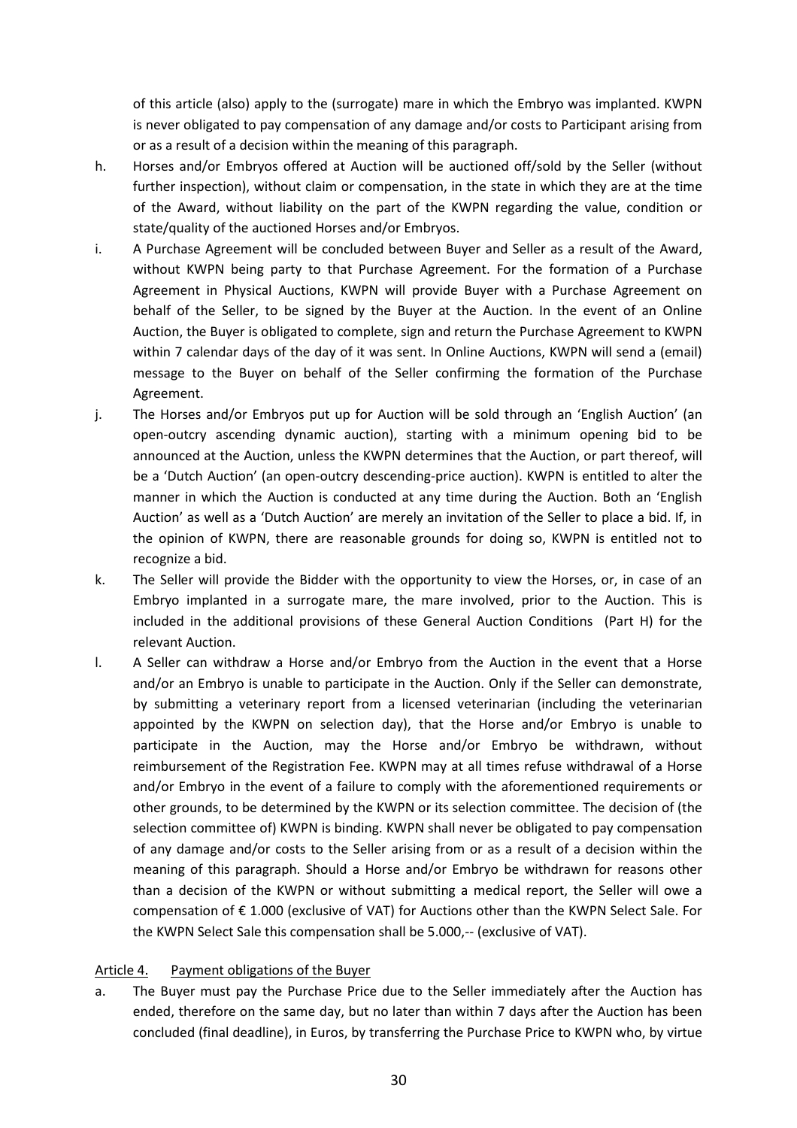of this article (also) apply to the (surrogate) mare in which the Embryo was implanted. KWPN is never obligated to pay compensation of any damage and/or costs to Participant arising from or as a result of a decision within the meaning of this paragraph.

- h. Horses and/or Embryos offered at Auction will be auctioned off/sold by the Seller (without further inspection), without claim or compensation, in the state in which they are at the time of the Award, without liability on the part of the KWPN regarding the value, condition or state/quality of the auctioned Horses and/or Embryos.
- i. A Purchase Agreement will be concluded between Buyer and Seller as a result of the Award, without KWPN being party to that Purchase Agreement. For the formation of a Purchase Agreement in Physical Auctions, KWPN will provide Buyer with a Purchase Agreement on behalf of the Seller, to be signed by the Buyer at the Auction. In the event of an Online Auction, the Buyer is obligated to complete, sign and return the Purchase Agreement to KWPN within 7 calendar days of the day of it was sent. In Online Auctions, KWPN will send a (email) message to the Buyer on behalf of the Seller confirming the formation of the Purchase Agreement.
- j. The Horses and/or Embryos put up for Auction will be sold through an 'English Auction' (an open-outcry ascending dynamic auction), starting with a minimum opening bid to be announced at the Auction, unless the KWPN determines that the Auction, or part thereof, will be a 'Dutch Auction' (an open-outcry descending-price auction). KWPN is entitled to alter the manner in which the Auction is conducted at any time during the Auction. Both an 'English Auction' as well as a 'Dutch Auction' are merely an invitation of the Seller to place a bid. If, in the opinion of KWPN, there are reasonable grounds for doing so, KWPN is entitled not to recognize a bid.
- k. The Seller will provide the Bidder with the opportunity to view the Horses, or, in case of an Embryo implanted in a surrogate mare, the mare involved, prior to the Auction. This is included in the additional provisions of these General Auction Conditions (Part H) for the relevant Auction.
- l. A Seller can withdraw a Horse and/or Embryo from the Auction in the event that a Horse and/or an Embryo is unable to participate in the Auction. Only if the Seller can demonstrate, by submitting a veterinary report from a licensed veterinarian (including the veterinarian appointed by the KWPN on selection day), that the Horse and/or Embryo is unable to participate in the Auction, may the Horse and/or Embryo be withdrawn, without reimbursement of the Registration Fee. KWPN may at all times refuse withdrawal of a Horse and/or Embryo in the event of a failure to comply with the aforementioned requirements or other grounds, to be determined by the KWPN or its selection committee. The decision of (the selection committee of) KWPN is binding. KWPN shall never be obligated to pay compensation of any damage and/or costs to the Seller arising from or as a result of a decision within the meaning of this paragraph. Should a Horse and/or Embryo be withdrawn for reasons other than a decision of the KWPN or without submitting a medical report, the Seller will owe a compensation of € 1.000 (exclusive of VAT) for Auctions other than the KWPN Select Sale. For the KWPN Select Sale this compensation shall be 5.000,-- (exclusive of VAT).

### Article 4. Payment obligations of the Buyer

a. The Buyer must pay the Purchase Price due to the Seller immediately after the Auction has ended, therefore on the same day, but no later than within 7 days after the Auction has been concluded (final deadline), in Euros, by transferring the Purchase Price to KWPN who, by virtue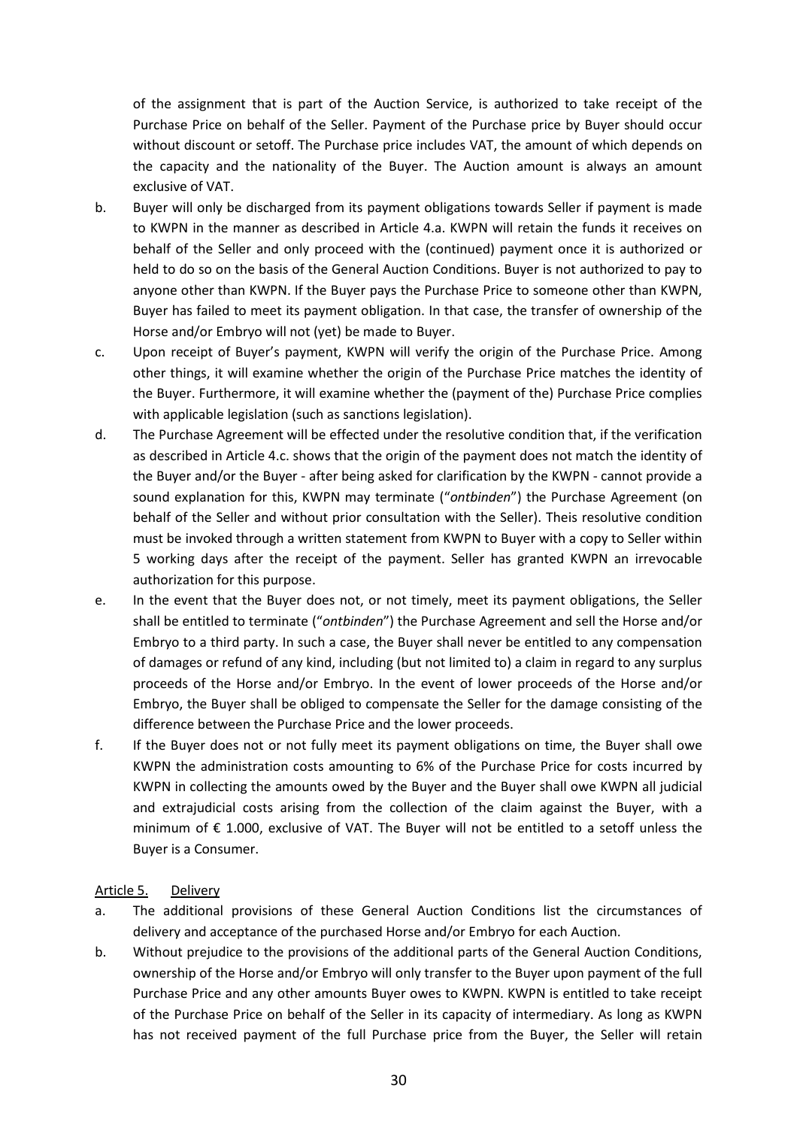of the assignment that is part of the Auction Service, is authorized to take receipt of the Purchase Price on behalf of the Seller. Payment of the Purchase price by Buyer should occur without discount or setoff. The Purchase price includes VAT, the amount of which depends on the capacity and the nationality of the Buyer. The Auction amount is always an amount exclusive of VAT.

- b. Buyer will only be discharged from its payment obligations towards Seller if payment is made to KWPN in the manner as described in Article 4.a. KWPN will retain the funds it receives on behalf of the Seller and only proceed with the (continued) payment once it is authorized or held to do so on the basis of the General Auction Conditions. Buyer is not authorized to pay to anyone other than KWPN. If the Buyer pays the Purchase Price to someone other than KWPN, Buyer has failed to meet its payment obligation. In that case, the transfer of ownership of the Horse and/or Embryo will not (yet) be made to Buyer.
- c. Upon receipt of Buyer's payment, KWPN will verify the origin of the Purchase Price. Among other things, it will examine whether the origin of the Purchase Price matches the identity of the Buyer. Furthermore, it will examine whether the (payment of the) Purchase Price complies with applicable legislation (such as sanctions legislation).
- d. The Purchase Agreement will be effected under the resolutive condition that, if the verification as described in Article 4.c. shows that the origin of the payment does not match the identity of the Buyer and/or the Buyer - after being asked for clarification by the KWPN - cannot provide a sound explanation for this, KWPN may terminate ("*ontbinden*") the Purchase Agreement (on behalf of the Seller and without prior consultation with the Seller). Theis resolutive condition must be invoked through a written statement from KWPN to Buyer with a copy to Seller within 5 working days after the receipt of the payment. Seller has granted KWPN an irrevocable authorization for this purpose.
- e. In the event that the Buyer does not, or not timely, meet its payment obligations, the Seller shall be entitled to terminate ("*ontbinden*") the Purchase Agreement and sell the Horse and/or Embryo to a third party. In such a case, the Buyer shall never be entitled to any compensation of damages or refund of any kind, including (but not limited to) a claim in regard to any surplus proceeds of the Horse and/or Embryo. In the event of lower proceeds of the Horse and/or Embryo, the Buyer shall be obliged to compensate the Seller for the damage consisting of the difference between the Purchase Price and the lower proceeds.
- f. If the Buyer does not or not fully meet its payment obligations on time, the Buyer shall owe KWPN the administration costs amounting to 6% of the Purchase Price for costs incurred by KWPN in collecting the amounts owed by the Buyer and the Buyer shall owe KWPN all judicial and extrajudicial costs arising from the collection of the claim against the Buyer, with a minimum of € 1.000, exclusive of VAT. The Buyer will not be entitled to a setoff unless the Buyer is a Consumer.

### Article 5. Delivery

- a. The additional provisions of these General Auction Conditions list the circumstances of delivery and acceptance of the purchased Horse and/or Embryo for each Auction.
- b. Without prejudice to the provisions of the additional parts of the General Auction Conditions, ownership of the Horse and/or Embryo will only transfer to the Buyer upon payment of the full Purchase Price and any other amounts Buyer owes to KWPN. KWPN is entitled to take receipt of the Purchase Price on behalf of the Seller in its capacity of intermediary. As long as KWPN has not received payment of the full Purchase price from the Buyer, the Seller will retain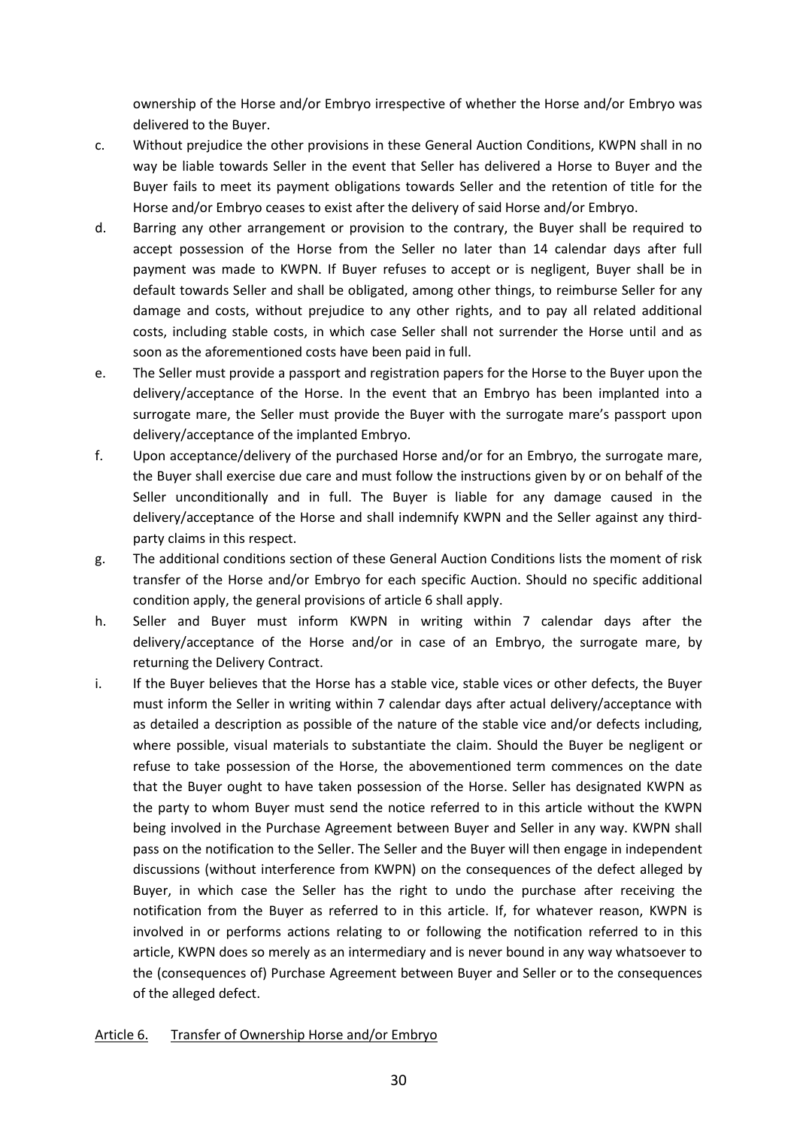ownership of the Horse and/or Embryo irrespective of whether the Horse and/or Embryo was delivered to the Buyer.

- c. Without prejudice the other provisions in these General Auction Conditions, KWPN shall in no way be liable towards Seller in the event that Seller has delivered a Horse to Buyer and the Buyer fails to meet its payment obligations towards Seller and the retention of title for the Horse and/or Embryo ceases to exist after the delivery of said Horse and/or Embryo.
- d. Barring any other arrangement or provision to the contrary, the Buyer shall be required to accept possession of the Horse from the Seller no later than 14 calendar days after full payment was made to KWPN. If Buyer refuses to accept or is negligent, Buyer shall be in default towards Seller and shall be obligated, among other things, to reimburse Seller for any damage and costs, without prejudice to any other rights, and to pay all related additional costs, including stable costs, in which case Seller shall not surrender the Horse until and as soon as the aforementioned costs have been paid in full.
- e. The Seller must provide a passport and registration papers for the Horse to the Buyer upon the delivery/acceptance of the Horse. In the event that an Embryo has been implanted into a surrogate mare, the Seller must provide the Buyer with the surrogate mare's passport upon delivery/acceptance of the implanted Embryo.
- f. Upon acceptance/delivery of the purchased Horse and/or for an Embryo, the surrogate mare, the Buyer shall exercise due care and must follow the instructions given by or on behalf of the Seller unconditionally and in full. The Buyer is liable for any damage caused in the delivery/acceptance of the Horse and shall indemnify KWPN and the Seller against any thirdparty claims in this respect.
- g. The additional conditions section of these General Auction Conditions lists the moment of risk transfer of the Horse and/or Embryo for each specific Auction. Should no specific additional condition apply, the general provisions of article 6 shall apply.
- h. Seller and Buyer must inform KWPN in writing within 7 calendar days after the delivery/acceptance of the Horse and/or in case of an Embryo, the surrogate mare, by returning the Delivery Contract.
- i. If the Buyer believes that the Horse has a stable vice, stable vices or other defects, the Buyer must inform the Seller in writing within 7 calendar days after actual delivery/acceptance with as detailed a description as possible of the nature of the stable vice and/or defects including, where possible, visual materials to substantiate the claim. Should the Buyer be negligent or refuse to take possession of the Horse, the abovementioned term commences on the date that the Buyer ought to have taken possession of the Horse. Seller has designated KWPN as the party to whom Buyer must send the notice referred to in this article without the KWPN being involved in the Purchase Agreement between Buyer and Seller in any way. KWPN shall pass on the notification to the Seller. The Seller and the Buyer will then engage in independent discussions (without interference from KWPN) on the consequences of the defect alleged by Buyer, in which case the Seller has the right to undo the purchase after receiving the notification from the Buyer as referred to in this article. If, for whatever reason, KWPN is involved in or performs actions relating to or following the notification referred to in this article, KWPN does so merely as an intermediary and is never bound in any way whatsoever to the (consequences of) Purchase Agreement between Buyer and Seller or to the consequences of the alleged defect.

### Article 6. Transfer of Ownership Horse and/or Embryo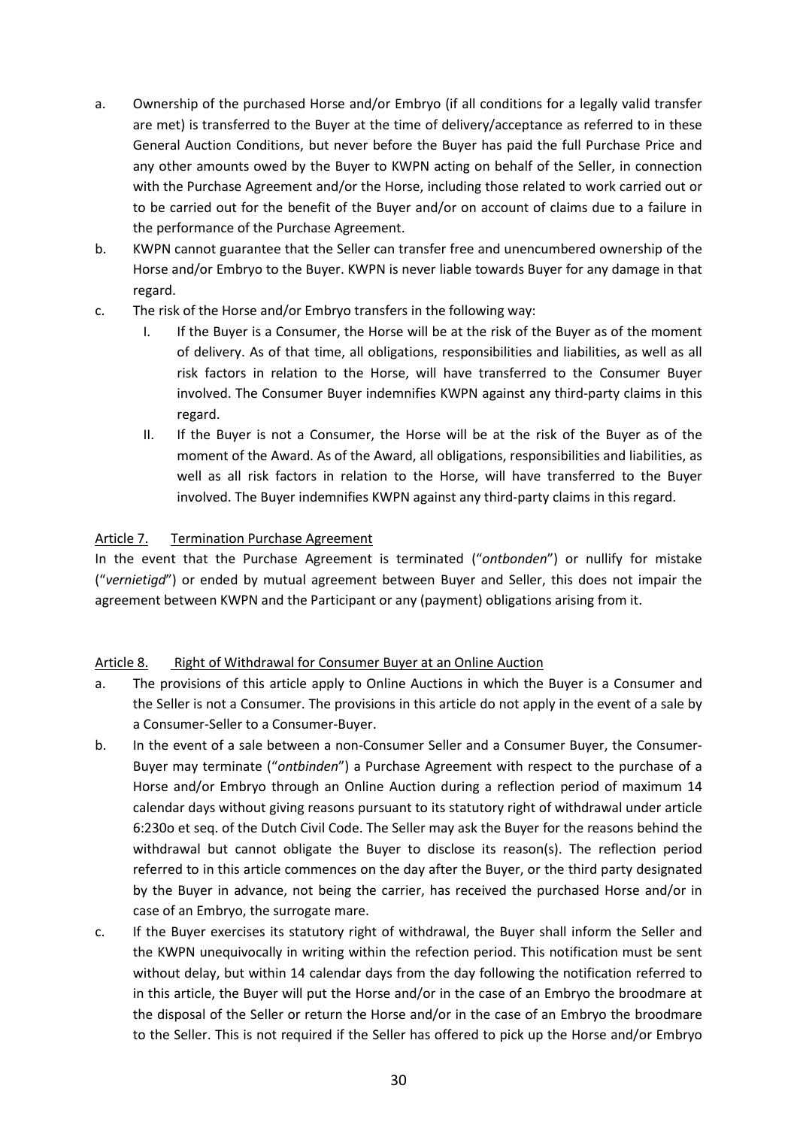- a. Ownership of the purchased Horse and/or Embryo (if all conditions for a legally valid transfer are met) is transferred to the Buyer at the time of delivery/acceptance as referred to in these General Auction Conditions, but never before the Buyer has paid the full Purchase Price and any other amounts owed by the Buyer to KWPN acting on behalf of the Seller, in connection with the Purchase Agreement and/or the Horse, including those related to work carried out or to be carried out for the benefit of the Buyer and/or on account of claims due to a failure in the performance of the Purchase Agreement.
- b. KWPN cannot guarantee that the Seller can transfer free and unencumbered ownership of the Horse and/or Embryo to the Buyer. KWPN is never liable towards Buyer for any damage in that regard.
- c. The risk of the Horse and/or Embryo transfers in the following way:
	- I. If the Buyer is a Consumer, the Horse will be at the risk of the Buyer as of the moment of delivery. As of that time, all obligations, responsibilities and liabilities, as well as all risk factors in relation to the Horse, will have transferred to the Consumer Buyer involved. The Consumer Buyer indemnifies KWPN against any third-party claims in this regard.
	- II. If the Buyer is not a Consumer, the Horse will be at the risk of the Buyer as of the moment of the Award. As of the Award, all obligations, responsibilities and liabilities, as well as all risk factors in relation to the Horse, will have transferred to the Buyer involved. The Buyer indemnifies KWPN against any third-party claims in this regard.

## Article 7. Termination Purchase Agreement

In the event that the Purchase Agreement is terminated ("*ontbonden*") or nullify for mistake ("*vernietigd*") or ended by mutual agreement between Buyer and Seller, this does not impair the agreement between KWPN and the Participant or any (payment) obligations arising from it.

### Article 8. Right of Withdrawal for Consumer Buyer at an Online Auction

- a. The provisions of this article apply to Online Auctions in which the Buyer is a Consumer and the Seller is not a Consumer. The provisions in this article do not apply in the event of a sale by a Consumer-Seller to a Consumer-Buyer.
- b. In the event of a sale between a non-Consumer Seller and a Consumer Buyer, the Consumer-Buyer may terminate ("*ontbinden*") a Purchase Agreement with respect to the purchase of a Horse and/or Embryo through an Online Auction during a reflection period of maximum 14 calendar days without giving reasons pursuant to its statutory right of withdrawal under article 6:230o et seq. of the Dutch Civil Code. The Seller may ask the Buyer for the reasons behind the withdrawal but cannot obligate the Buyer to disclose its reason(s). The reflection period referred to in this article commences on the day after the Buyer, or the third party designated by the Buyer in advance, not being the carrier, has received the purchased Horse and/or in case of an Embryo, the surrogate mare.
- c. If the Buyer exercises its statutory right of withdrawal, the Buyer shall inform the Seller and the KWPN unequivocally in writing within the refection period. This notification must be sent without delay, but within 14 calendar days from the day following the notification referred to in this article, the Buyer will put the Horse and/or in the case of an Embryo the broodmare at the disposal of the Seller or return the Horse and/or in the case of an Embryo the broodmare to the Seller. This is not required if the Seller has offered to pick up the Horse and/or Embryo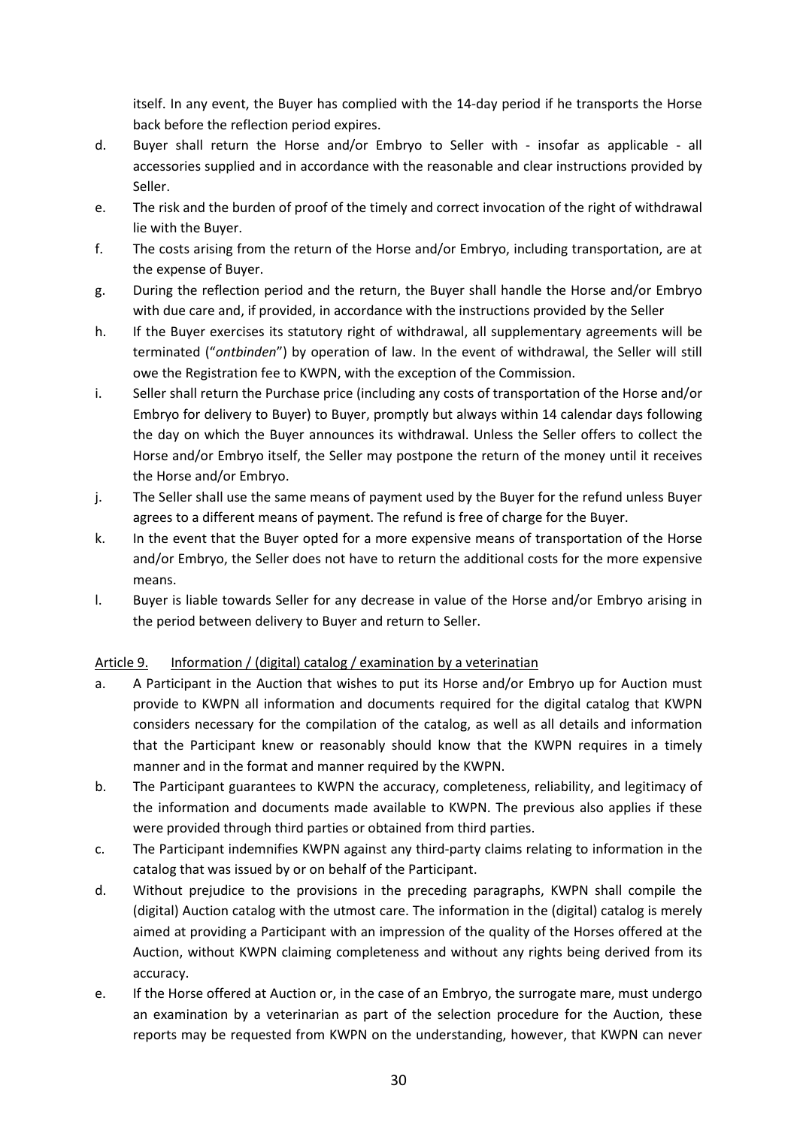itself. In any event, the Buyer has complied with the 14-day period if he transports the Horse back before the reflection period expires.

- d. Buyer shall return the Horse and/or Embryo to Seller with insofar as applicable all accessories supplied and in accordance with the reasonable and clear instructions provided by Seller.
- e. The risk and the burden of proof of the timely and correct invocation of the right of withdrawal lie with the Buyer.
- f. The costs arising from the return of the Horse and/or Embryo, including transportation, are at the expense of Buyer.
- g. During the reflection period and the return, the Buyer shall handle the Horse and/or Embryo with due care and, if provided, in accordance with the instructions provided by the Seller
- h. If the Buyer exercises its statutory right of withdrawal, all supplementary agreements will be terminated ("*ontbinden*") by operation of law. In the event of withdrawal, the Seller will still owe the Registration fee to KWPN, with the exception of the Commission.
- i. Seller shall return the Purchase price (including any costs of transportation of the Horse and/or Embryo for delivery to Buyer) to Buyer, promptly but always within 14 calendar days following the day on which the Buyer announces its withdrawal. Unless the Seller offers to collect the Horse and/or Embryo itself, the Seller may postpone the return of the money until it receives the Horse and/or Embryo.
- j. The Seller shall use the same means of payment used by the Buyer for the refund unless Buyer agrees to a different means of payment. The refund is free of charge for the Buyer.
- k. In the event that the Buyer opted for a more expensive means of transportation of the Horse and/or Embryo, the Seller does not have to return the additional costs for the more expensive means.
- l. Buyer is liable towards Seller for any decrease in value of the Horse and/or Embryo arising in the period between delivery to Buyer and return to Seller.

# Article 9. Information / (digital) catalog / examination by a veterinatian

- a. A Participant in the Auction that wishes to put its Horse and/or Embryo up for Auction must provide to KWPN all information and documents required for the digital catalog that KWPN considers necessary for the compilation of the catalog, as well as all details and information that the Participant knew or reasonably should know that the KWPN requires in a timely manner and in the format and manner required by the KWPN.
- b. The Participant guarantees to KWPN the accuracy, completeness, reliability, and legitimacy of the information and documents made available to KWPN. The previous also applies if these were provided through third parties or obtained from third parties.
- c. The Participant indemnifies KWPN against any third-party claims relating to information in the catalog that was issued by or on behalf of the Participant.
- d. Without prejudice to the provisions in the preceding paragraphs, KWPN shall compile the (digital) Auction catalog with the utmost care. The information in the (digital) catalog is merely aimed at providing a Participant with an impression of the quality of the Horses offered at the Auction, without KWPN claiming completeness and without any rights being derived from its accuracy.
- e. If the Horse offered at Auction or, in the case of an Embryo, the surrogate mare, must undergo an examination by a veterinarian as part of the selection procedure for the Auction, these reports may be requested from KWPN on the understanding, however, that KWPN can never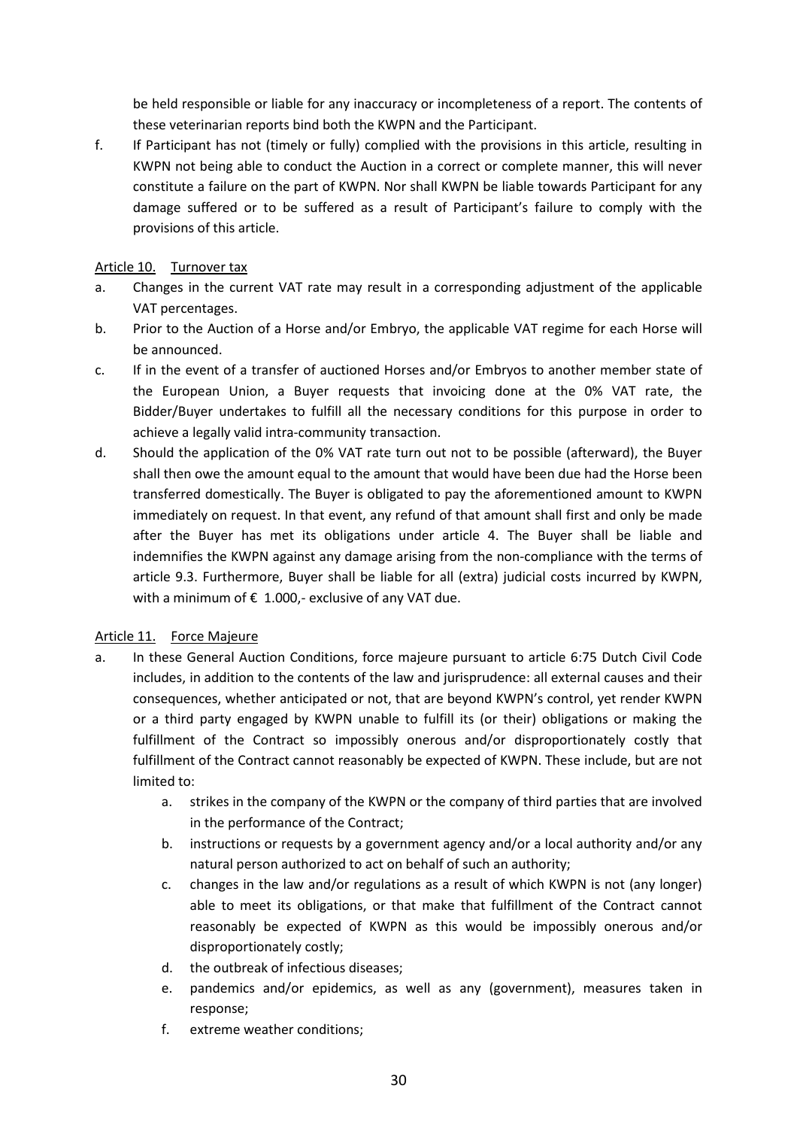be held responsible or liable for any inaccuracy or incompleteness of a report. The contents of these veterinarian reports bind both the KWPN and the Participant.

f. If Participant has not (timely or fully) complied with the provisions in this article, resulting in KWPN not being able to conduct the Auction in a correct or complete manner, this will never constitute a failure on the part of KWPN. Nor shall KWPN be liable towards Participant for any damage suffered or to be suffered as a result of Participant's failure to comply with the provisions of this article.

### Article 10. Turnover tax

- a. Changes in the current VAT rate may result in a corresponding adjustment of the applicable VAT percentages.
- b. Prior to the Auction of a Horse and/or Embryo, the applicable VAT regime for each Horse will be announced.
- c. If in the event of a transfer of auctioned Horses and/or Embryos to another member state of the European Union, a Buyer requests that invoicing done at the 0% VAT rate, the Bidder/Buyer undertakes to fulfill all the necessary conditions for this purpose in order to achieve a legally valid intra-community transaction.
- d. Should the application of the 0% VAT rate turn out not to be possible (afterward), the Buyer shall then owe the amount equal to the amount that would have been due had the Horse been transferred domestically. The Buyer is obligated to pay the aforementioned amount to KWPN immediately on request. In that event, any refund of that amount shall first and only be made after the Buyer has met its obligations under article 4. The Buyer shall be liable and indemnifies the KWPN against any damage arising from the non-compliance with the terms of article 9.3. Furthermore, Buyer shall be liable for all (extra) judicial costs incurred by KWPN, with a minimum of  $\epsilon$  1.000,- exclusive of any VAT due.

### Article 11. Force Majeure

- a. In these General Auction Conditions, force majeure pursuant to article 6:75 Dutch Civil Code includes, in addition to the contents of the law and jurisprudence: all external causes and their consequences, whether anticipated or not, that are beyond KWPN's control, yet render KWPN or a third party engaged by KWPN unable to fulfill its (or their) obligations or making the fulfillment of the Contract so impossibly onerous and/or disproportionately costly that fulfillment of the Contract cannot reasonably be expected of KWPN. These include, but are not limited to:
	- a. strikes in the company of the KWPN or the company of third parties that are involved in the performance of the Contract;
	- b. instructions or requests by a government agency and/or a local authority and/or any natural person authorized to act on behalf of such an authority;
	- c. changes in the law and/or regulations as a result of which KWPN is not (any longer) able to meet its obligations, or that make that fulfillment of the Contract cannot reasonably be expected of KWPN as this would be impossibly onerous and/or disproportionately costly;
	- d. the outbreak of infectious diseases;
	- e. pandemics and/or epidemics, as well as any (government), measures taken in response;
	- f. extreme weather conditions;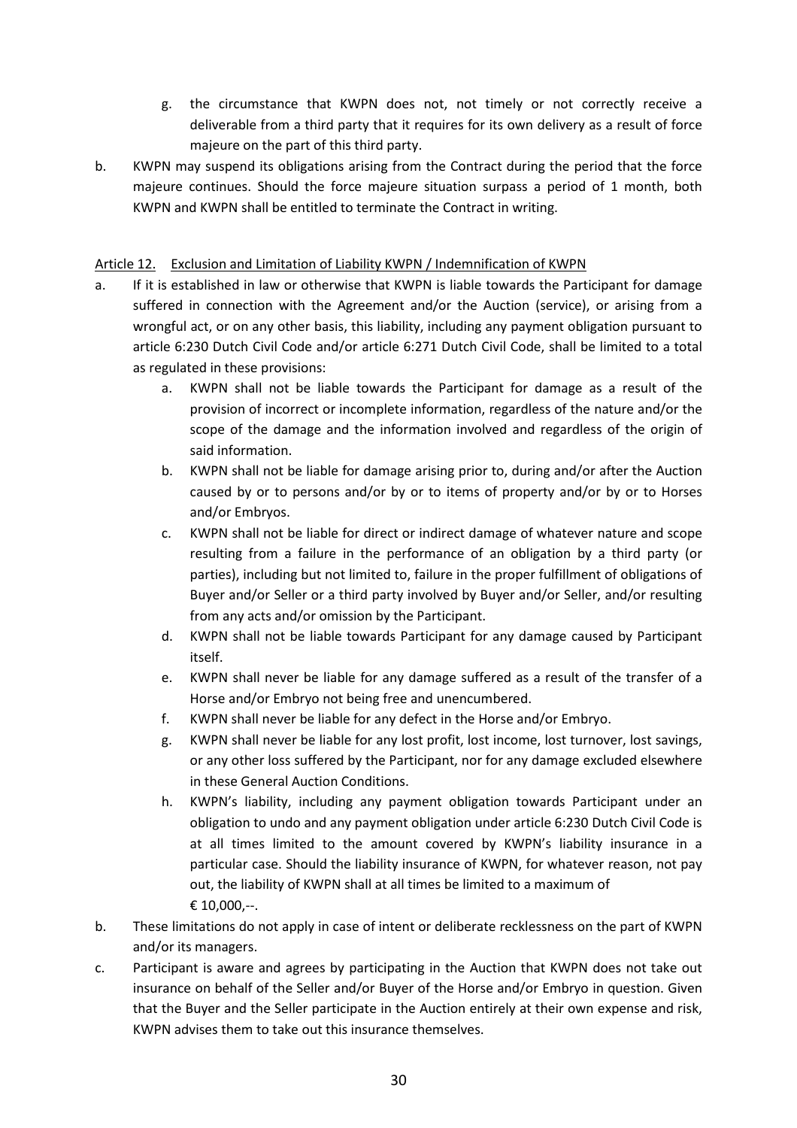- g. the circumstance that KWPN does not, not timely or not correctly receive a deliverable from a third party that it requires for its own delivery as a result of force majeure on the part of this third party.
- b. KWPN may suspend its obligations arising from the Contract during the period that the force majeure continues. Should the force majeure situation surpass a period of 1 month, both KWPN and KWPN shall be entitled to terminate the Contract in writing.

## Article 12. Exclusion and Limitation of Liability KWPN / Indemnification of KWPN

- a. If it is established in law or otherwise that KWPN is liable towards the Participant for damage suffered in connection with the Agreement and/or the Auction (service), or arising from a wrongful act, or on any other basis, this liability, including any payment obligation pursuant to article 6:230 Dutch Civil Code and/or article 6:271 Dutch Civil Code, shall be limited to a total as regulated in these provisions:
	- a. KWPN shall not be liable towards the Participant for damage as a result of the provision of incorrect or incomplete information, regardless of the nature and/or the scope of the damage and the information involved and regardless of the origin of said information.
	- b. KWPN shall not be liable for damage arising prior to, during and/or after the Auction caused by or to persons and/or by or to items of property and/or by or to Horses and/or Embryos.
	- c. KWPN shall not be liable for direct or indirect damage of whatever nature and scope resulting from a failure in the performance of an obligation by a third party (or parties), including but not limited to, failure in the proper fulfillment of obligations of Buyer and/or Seller or a third party involved by Buyer and/or Seller, and/or resulting from any acts and/or omission by the Participant.
	- d. KWPN shall not be liable towards Participant for any damage caused by Participant itself.
	- e. KWPN shall never be liable for any damage suffered as a result of the transfer of a Horse and/or Embryo not being free and unencumbered.
	- f. KWPN shall never be liable for any defect in the Horse and/or Embryo.
	- g. KWPN shall never be liable for any lost profit, lost income, lost turnover, lost savings, or any other loss suffered by the Participant, nor for any damage excluded elsewhere in these General Auction Conditions.
	- h. KWPN's liability, including any payment obligation towards Participant under an obligation to undo and any payment obligation under article 6:230 Dutch Civil Code is at all times limited to the amount covered by KWPN's liability insurance in a particular case. Should the liability insurance of KWPN, for whatever reason, not pay out, the liability of KWPN shall at all times be limited to a maximum of € 10,000,--.
- b. These limitations do not apply in case of intent or deliberate recklessness on the part of KWPN and/or its managers.
- c. Participant is aware and agrees by participating in the Auction that KWPN does not take out insurance on behalf of the Seller and/or Buyer of the Horse and/or Embryo in question. Given that the Buyer and the Seller participate in the Auction entirely at their own expense and risk, KWPN advises them to take out this insurance themselves.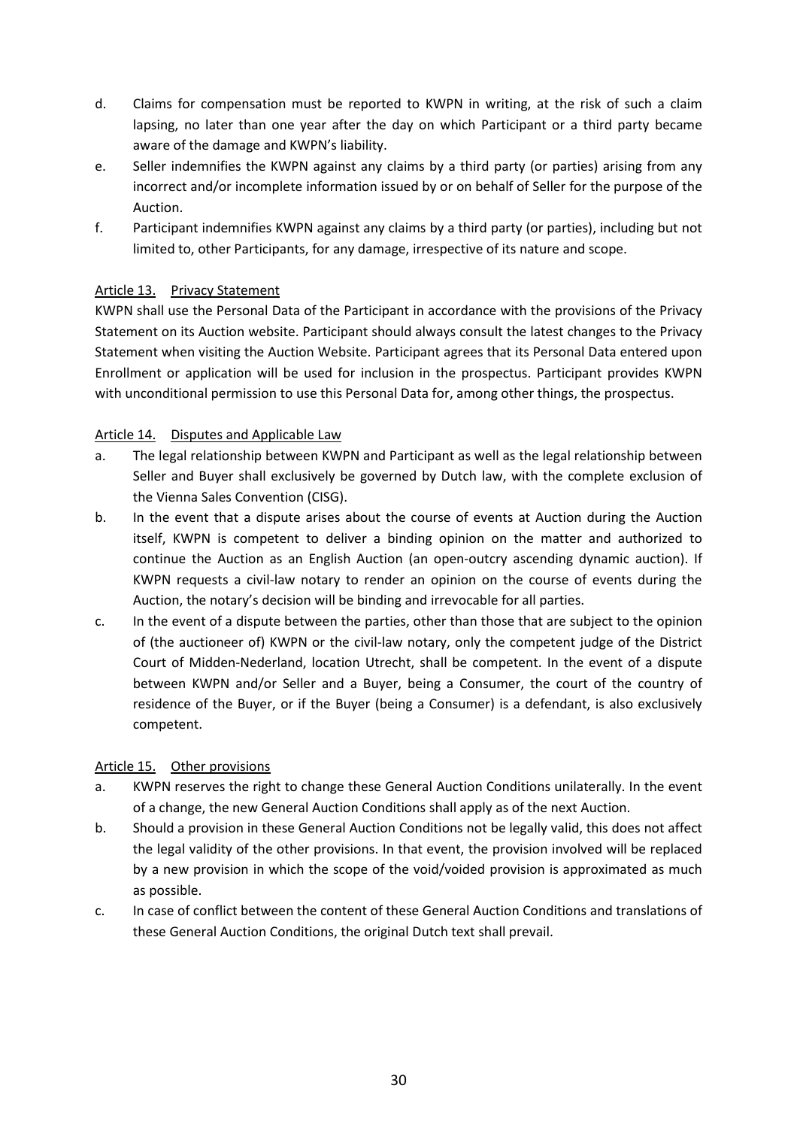- d. Claims for compensation must be reported to KWPN in writing, at the risk of such a claim lapsing, no later than one year after the day on which Participant or a third party became aware of the damage and KWPN's liability.
- e. Seller indemnifies the KWPN against any claims by a third party (or parties) arising from any incorrect and/or incomplete information issued by or on behalf of Seller for the purpose of the Auction.
- f. Participant indemnifies KWPN against any claims by a third party (or parties), including but not limited to, other Participants, for any damage, irrespective of its nature and scope.

# Article 13. Privacy Statement

KWPN shall use the Personal Data of the Participant in accordance with the provisions of the Privacy Statement on its Auction website. Participant should always consult the latest changes to the Privacy Statement when visiting the Auction Website. Participant agrees that its Personal Data entered upon Enrollment or application will be used for inclusion in the prospectus. Participant provides KWPN with unconditional permission to use this Personal Data for, among other things, the prospectus.

## Article 14. Disputes and Applicable Law

- a. The legal relationship between KWPN and Participant as well as the legal relationship between Seller and Buyer shall exclusively be governed by Dutch law, with the complete exclusion of the Vienna Sales Convention (CISG).
- b. In the event that a dispute arises about the course of events at Auction during the Auction itself, KWPN is competent to deliver a binding opinion on the matter and authorized to continue the Auction as an English Auction (an open-outcry ascending dynamic auction). If KWPN requests a civil-law notary to render an opinion on the course of events during the Auction, the notary's decision will be binding and irrevocable for all parties.
- c. In the event of a dispute between the parties, other than those that are subject to the opinion of (the auctioneer of) KWPN or the civil-law notary, only the competent judge of the District Court of Midden-Nederland, location Utrecht, shall be competent. In the event of a dispute between KWPN and/or Seller and a Buyer, being a Consumer, the court of the country of residence of the Buyer, or if the Buyer (being a Consumer) is a defendant, is also exclusively competent.

# Article 15. Other provisions

- a. KWPN reserves the right to change these General Auction Conditions unilaterally. In the event of a change, the new General Auction Conditions shall apply as of the next Auction.
- b. Should a provision in these General Auction Conditions not be legally valid, this does not affect the legal validity of the other provisions. In that event, the provision involved will be replaced by a new provision in which the scope of the void/voided provision is approximated as much as possible.
- c. In case of conflict between the content of these General Auction Conditions and translations of these General Auction Conditions, the original Dutch text shall prevail.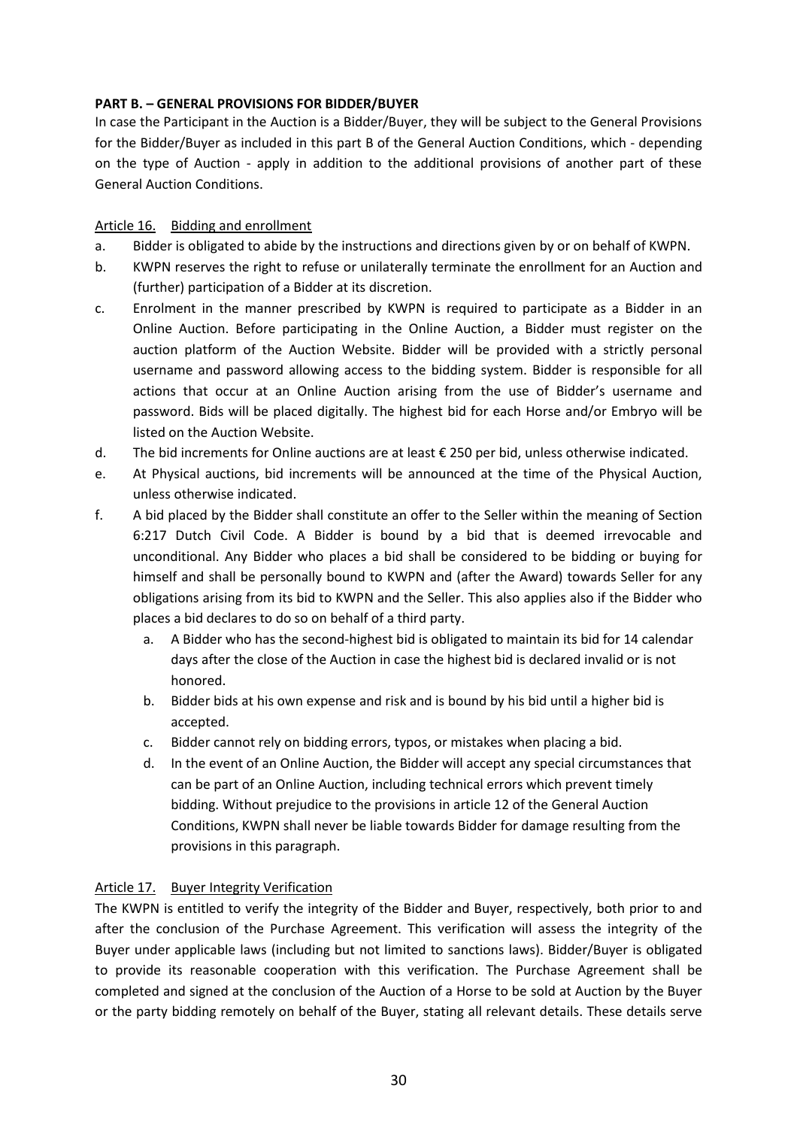### **PART B. – GENERAL PROVISIONS FOR BIDDER/BUYER**

In case the Participant in the Auction is a Bidder/Buyer, they will be subject to the General Provisions for the Bidder/Buyer as included in this part B of the General Auction Conditions, which - depending on the type of Auction - apply in addition to the additional provisions of another part of these General Auction Conditions.

### Article 16. Bidding and enrollment

- a. Bidder is obligated to abide by the instructions and directions given by or on behalf of KWPN.
- b. KWPN reserves the right to refuse or unilaterally terminate the enrollment for an Auction and (further) participation of a Bidder at its discretion.
- c. Enrolment in the manner prescribed by KWPN is required to participate as a Bidder in an Online Auction. Before participating in the Online Auction, a Bidder must register on the auction platform of the Auction Website. Bidder will be provided with a strictly personal username and password allowing access to the bidding system. Bidder is responsible for all actions that occur at an Online Auction arising from the use of Bidder's username and password. Bids will be placed digitally. The highest bid for each Horse and/or Embryo will be listed on the Auction Website.
- d. The bid increments for Online auctions are at least € 250 per bid, unless otherwise indicated.
- e. At Physical auctions, bid increments will be announced at the time of the Physical Auction, unless otherwise indicated.
- f. A bid placed by the Bidder shall constitute an offer to the Seller within the meaning of Section 6:217 Dutch Civil Code. A Bidder is bound by a bid that is deemed irrevocable and unconditional. Any Bidder who places a bid shall be considered to be bidding or buying for himself and shall be personally bound to KWPN and (after the Award) towards Seller for any obligations arising from its bid to KWPN and the Seller. This also applies also if the Bidder who places a bid declares to do so on behalf of a third party.
	- a. A Bidder who has the second-highest bid is obligated to maintain its bid for 14 calendar days after the close of the Auction in case the highest bid is declared invalid or is not honored.
	- b. Bidder bids at his own expense and risk and is bound by his bid until a higher bid is accepted.
	- c. Bidder cannot rely on bidding errors, typos, or mistakes when placing a bid.
	- d. In the event of an Online Auction, the Bidder will accept any special circumstances that can be part of an Online Auction, including technical errors which prevent timely bidding. Without prejudice to the provisions in article 12 of the General Auction Conditions, KWPN shall never be liable towards Bidder for damage resulting from the provisions in this paragraph.

# Article 17. Buyer Integrity Verification

The KWPN is entitled to verify the integrity of the Bidder and Buyer, respectively, both prior to and after the conclusion of the Purchase Agreement. This verification will assess the integrity of the Buyer under applicable laws (including but not limited to sanctions laws). Bidder/Buyer is obligated to provide its reasonable cooperation with this verification. The Purchase Agreement shall be completed and signed at the conclusion of the Auction of a Horse to be sold at Auction by the Buyer or the party bidding remotely on behalf of the Buyer, stating all relevant details. These details serve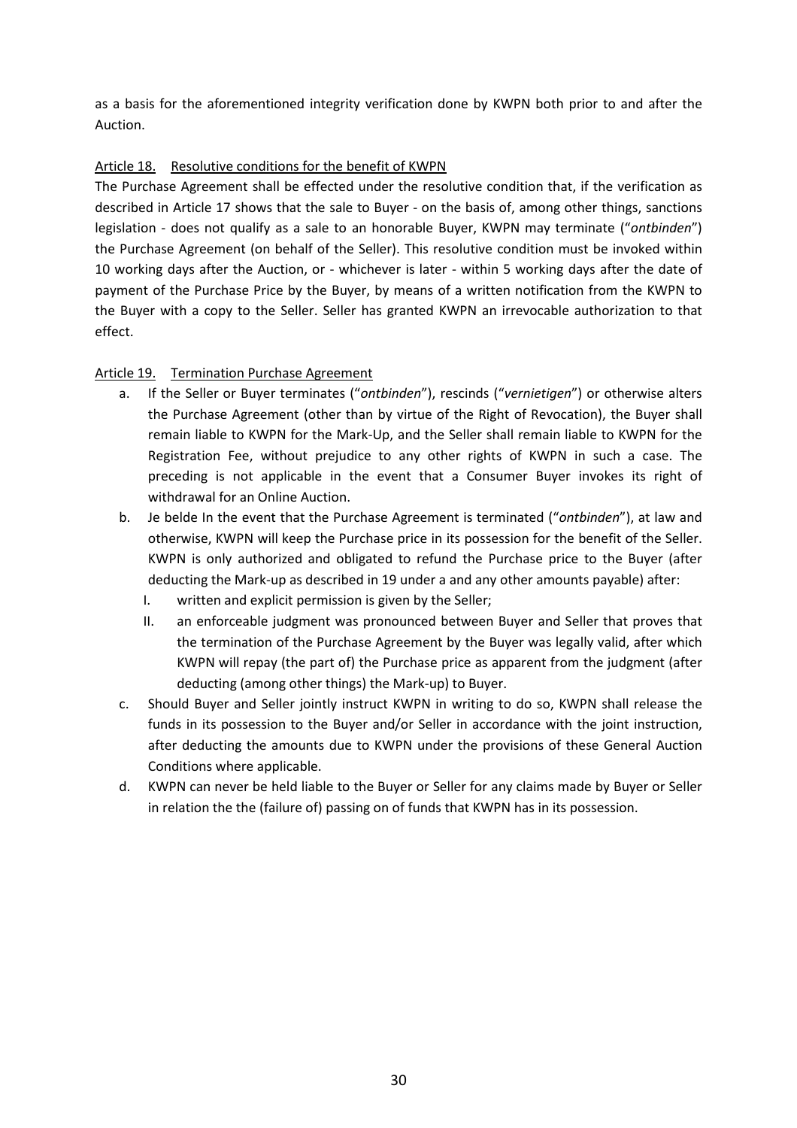as a basis for the aforementioned integrity verification done by KWPN both prior to and after the Auction.

### Article 18. Resolutive conditions for the benefit of KWPN

The Purchase Agreement shall be effected under the resolutive condition that, if the verification as described in Article 17 shows that the sale to Buyer - on the basis of, among other things, sanctions legislation - does not qualify as a sale to an honorable Buyer, KWPN may terminate ("*ontbinden*") the Purchase Agreement (on behalf of the Seller). This resolutive condition must be invoked within 10 working days after the Auction, or - whichever is later - within 5 working days after the date of payment of the Purchase Price by the Buyer, by means of a written notification from the KWPN to the Buyer with a copy to the Seller. Seller has granted KWPN an irrevocable authorization to that effect.

### Article 19. Termination Purchase Agreement

- a. If the Seller or Buyer terminates ("*ontbinden*"), rescinds ("*vernietigen*") or otherwise alters the Purchase Agreement (other than by virtue of the Right of Revocation), the Buyer shall remain liable to KWPN for the Mark-Up, and the Seller shall remain liable to KWPN for the Registration Fee, without prejudice to any other rights of KWPN in such a case. The preceding is not applicable in the event that a Consumer Buyer invokes its right of withdrawal for an Online Auction.
- b. Je belde In the event that the Purchase Agreement is terminated ("*ontbinden*"), at law and otherwise, KWPN will keep the Purchase price in its possession for the benefit of the Seller. KWPN is only authorized and obligated to refund the Purchase price to the Buyer (after deducting the Mark-up as described in 19 under a and any other amounts payable) after:
	- I. written and explicit permission is given by the Seller;
	- II. an enforceable judgment was pronounced between Buyer and Seller that proves that the termination of the Purchase Agreement by the Buyer was legally valid, after which KWPN will repay (the part of) the Purchase price as apparent from the judgment (after deducting (among other things) the Mark-up) to Buyer.
- c. Should Buyer and Seller jointly instruct KWPN in writing to do so, KWPN shall release the funds in its possession to the Buyer and/or Seller in accordance with the joint instruction, after deducting the amounts due to KWPN under the provisions of these General Auction Conditions where applicable.
- d. KWPN can never be held liable to the Buyer or Seller for any claims made by Buyer or Seller in relation the the (failure of) passing on of funds that KWPN has in its possession.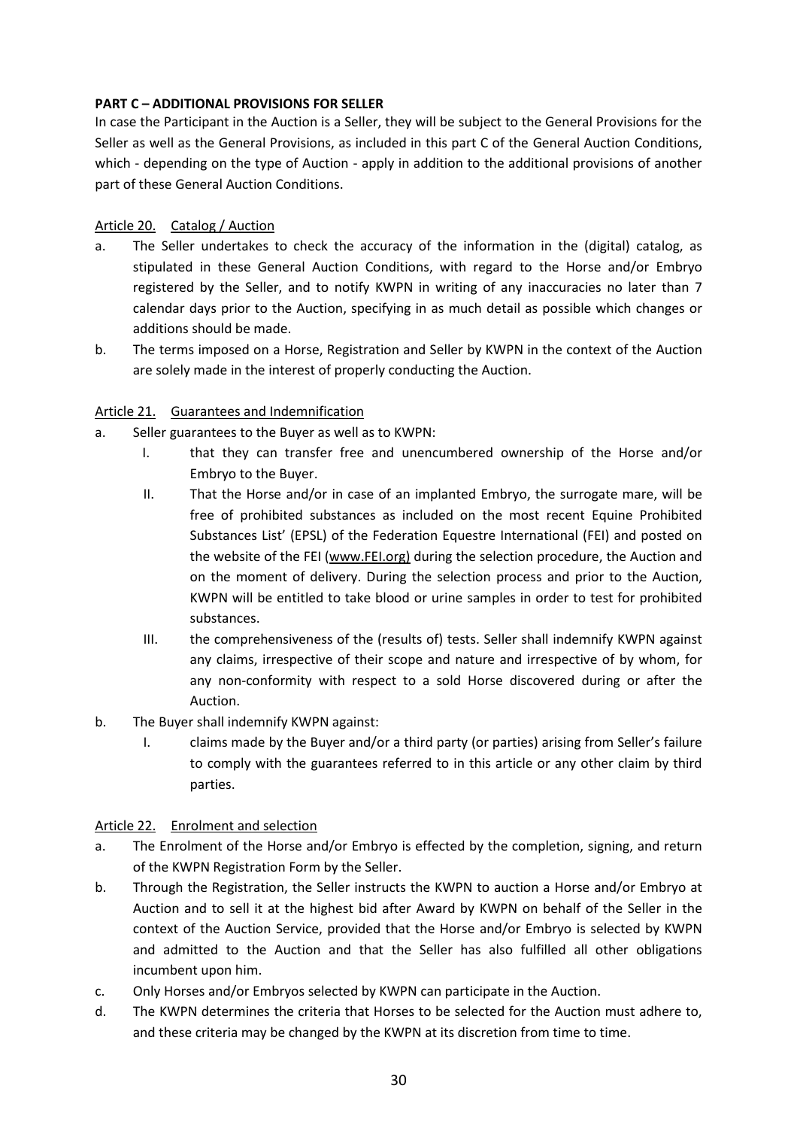## **PART C – ADDITIONAL PROVISIONS FOR SELLER**

In case the Participant in the Auction is a Seller, they will be subject to the General Provisions for the Seller as well as the General Provisions, as included in this part C of the General Auction Conditions, which - depending on the type of Auction - apply in addition to the additional provisions of another part of these General Auction Conditions.

## Article 20. Catalog / Auction

- a. The Seller undertakes to check the accuracy of the information in the (digital) catalog, as stipulated in these General Auction Conditions, with regard to the Horse and/or Embryo registered by the Seller, and to notify KWPN in writing of any inaccuracies no later than 7 calendar days prior to the Auction, specifying in as much detail as possible which changes or additions should be made.
- b. The terms imposed on a Horse, Registration and Seller by KWPN in the context of the Auction are solely made in the interest of properly conducting the Auction.

## Article 21. Guarantees and Indemnification

- a. Seller guarantees to the Buyer as well as to KWPN:
	- I. that they can transfer free and unencumbered ownership of the Horse and/or Embryo to the Buyer.
	- II. That the Horse and/or in case of an implanted Embryo, the surrogate mare, will be free of prohibited substances as included on the most recent Equine Prohibited Substances List' (EPSL) of the Federation Equestre International (FEI) and posted on the website of the FEI [\(www.FEI.org\)](http://www.fei.org)/) during the selection procedure, the Auction and on the moment of delivery. During the selection process and prior to the Auction, KWPN will be entitled to take blood or urine samples in order to test for prohibited substances.
	- III. the comprehensiveness of the (results of) tests. Seller shall indemnify KWPN against any claims, irrespective of their scope and nature and irrespective of by whom, for any non-conformity with respect to a sold Horse discovered during or after the Auction.
- b. The Buyer shall indemnify KWPN against:
	- I. claims made by the Buyer and/or a third party (or parties) arising from Seller's failure to comply with the guarantees referred to in this article or any other claim by third parties.

### Article 22. Enrolment and selection

- a. The Enrolment of the Horse and/or Embryo is effected by the completion, signing, and return of the KWPN Registration Form by the Seller.
- b. Through the Registration, the Seller instructs the KWPN to auction a Horse and/or Embryo at Auction and to sell it at the highest bid after Award by KWPN on behalf of the Seller in the context of the Auction Service, provided that the Horse and/or Embryo is selected by KWPN and admitted to the Auction and that the Seller has also fulfilled all other obligations incumbent upon him.
- c. Only Horses and/or Embryos selected by KWPN can participate in the Auction.
- d. The KWPN determines the criteria that Horses to be selected for the Auction must adhere to, and these criteria may be changed by the KWPN at its discretion from time to time.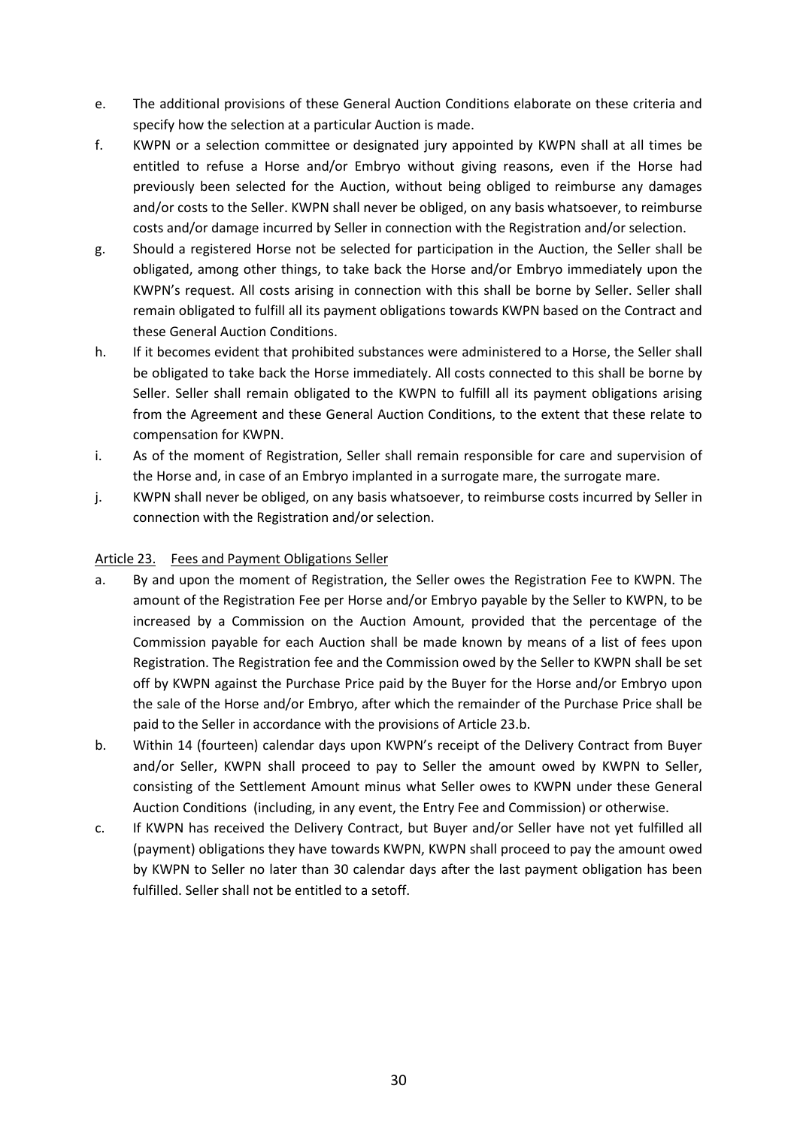- e. The additional provisions of these General Auction Conditions elaborate on these criteria and specify how the selection at a particular Auction is made.
- f. KWPN or a selection committee or designated jury appointed by KWPN shall at all times be entitled to refuse a Horse and/or Embryo without giving reasons, even if the Horse had previously been selected for the Auction, without being obliged to reimburse any damages and/or costs to the Seller. KWPN shall never be obliged, on any basis whatsoever, to reimburse costs and/or damage incurred by Seller in connection with the Registration and/or selection.
- g. Should a registered Horse not be selected for participation in the Auction, the Seller shall be obligated, among other things, to take back the Horse and/or Embryo immediately upon the KWPN's request. All costs arising in connection with this shall be borne by Seller. Seller shall remain obligated to fulfill all its payment obligations towards KWPN based on the Contract and these General Auction Conditions.
- h. If it becomes evident that prohibited substances were administered to a Horse, the Seller shall be obligated to take back the Horse immediately. All costs connected to this shall be borne by Seller. Seller shall remain obligated to the KWPN to fulfill all its payment obligations arising from the Agreement and these General Auction Conditions, to the extent that these relate to compensation for KWPN.
- i. As of the moment of Registration, Seller shall remain responsible for care and supervision of the Horse and, in case of an Embryo implanted in a surrogate mare, the surrogate mare.
- j. KWPN shall never be obliged, on any basis whatsoever, to reimburse costs incurred by Seller in connection with the Registration and/or selection.

# Article 23. Fees and Payment Obligations Seller

- a. By and upon the moment of Registration, the Seller owes the Registration Fee to KWPN. The amount of the Registration Fee per Horse and/or Embryo payable by the Seller to KWPN, to be increased by a Commission on the Auction Amount, provided that the percentage of the Commission payable for each Auction shall be made known by means of a list of fees upon Registration. The Registration fee and the Commission owed by the Seller to KWPN shall be set off by KWPN against the Purchase Price paid by the Buyer for the Horse and/or Embryo upon the sale of the Horse and/or Embryo, after which the remainder of the Purchase Price shall be paid to the Seller in accordance with the provisions of Article 23.b.
- b. Within 14 (fourteen) calendar days upon KWPN's receipt of the Delivery Contract from Buyer and/or Seller, KWPN shall proceed to pay to Seller the amount owed by KWPN to Seller, consisting of the Settlement Amount minus what Seller owes to KWPN under these General Auction Conditions (including, in any event, the Entry Fee and Commission) or otherwise.
- c. If KWPN has received the Delivery Contract, but Buyer and/or Seller have not yet fulfilled all (payment) obligations they have towards KWPN, KWPN shall proceed to pay the amount owed by KWPN to Seller no later than 30 calendar days after the last payment obligation has been fulfilled. Seller shall not be entitled to a setoff.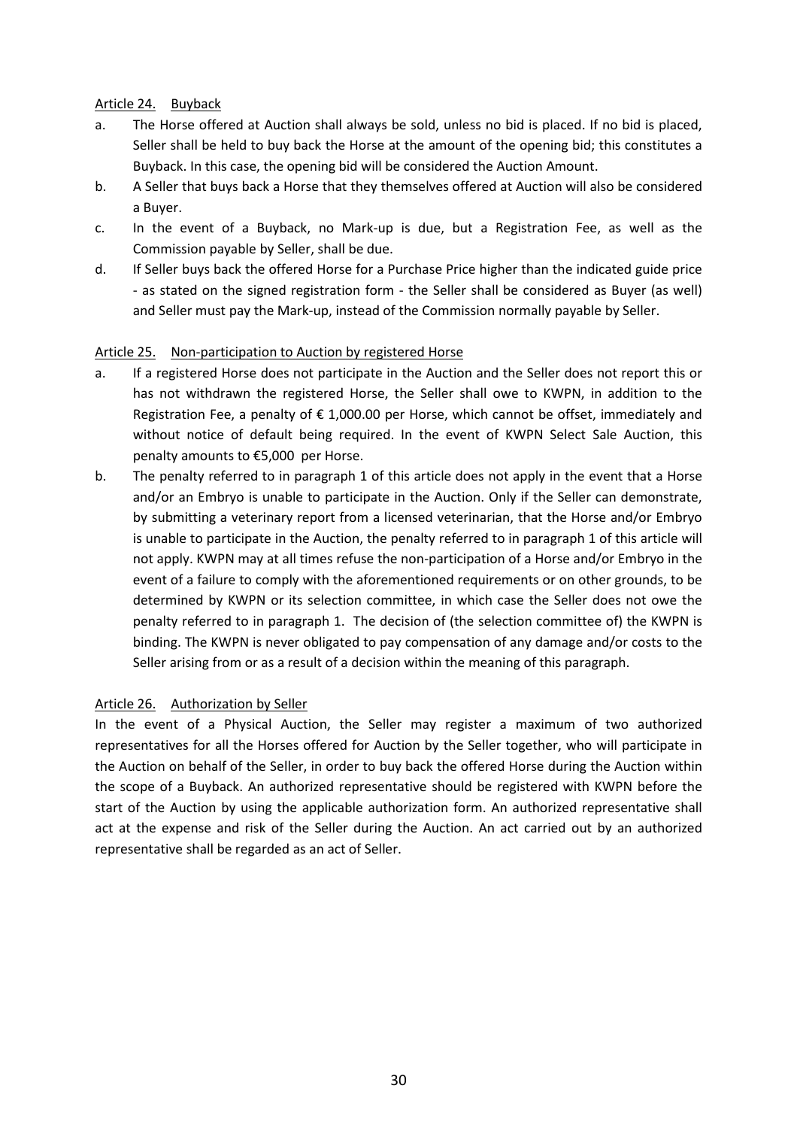### Article 24. Buyback

- a. The Horse offered at Auction shall always be sold, unless no bid is placed. If no bid is placed, Seller shall be held to buy back the Horse at the amount of the opening bid; this constitutes a Buyback. In this case, the opening bid will be considered the Auction Amount.
- b. A Seller that buys back a Horse that they themselves offered at Auction will also be considered a Buyer.
- c. In the event of a Buyback, no Mark-up is due, but a Registration Fee, as well as the Commission payable by Seller, shall be due.
- d. If Seller buys back the offered Horse for a Purchase Price higher than the indicated guide price - as stated on the signed registration form - the Seller shall be considered as Buyer (as well) and Seller must pay the Mark-up, instead of the Commission normally payable by Seller.

### Article 25. Non-participation to Auction by registered Horse

- a. If a registered Horse does not participate in the Auction and the Seller does not report this or has not withdrawn the registered Horse, the Seller shall owe to KWPN, in addition to the Registration Fee, a penalty of € 1,000.00 per Horse, which cannot be offset, immediately and without notice of default being required. In the event of KWPN Select Sale Auction, this penalty amounts to €5,000 per Horse.
- b. The penalty referred to in paragraph 1 of this article does not apply in the event that a Horse and/or an Embryo is unable to participate in the Auction. Only if the Seller can demonstrate, by submitting a veterinary report from a licensed veterinarian, that the Horse and/or Embryo is unable to participate in the Auction, the penalty referred to in paragraph 1 of this article will not apply. KWPN may at all times refuse the non-participation of a Horse and/or Embryo in the event of a failure to comply with the aforementioned requirements or on other grounds, to be determined by KWPN or its selection committee, in which case the Seller does not owe the penalty referred to in paragraph 1. The decision of (the selection committee of) the KWPN is binding. The KWPN is never obligated to pay compensation of any damage and/or costs to the Seller arising from or as a result of a decision within the meaning of this paragraph.

### Article 26. Authorization by Seller

In the event of a Physical Auction, the Seller may register a maximum of two authorized representatives for all the Horses offered for Auction by the Seller together, who will participate in the Auction on behalf of the Seller, in order to buy back the offered Horse during the Auction within the scope of a Buyback. An authorized representative should be registered with KWPN before the start of the Auction by using the applicable authorization form. An authorized representative shall act at the expense and risk of the Seller during the Auction. An act carried out by an authorized representative shall be regarded as an act of Seller.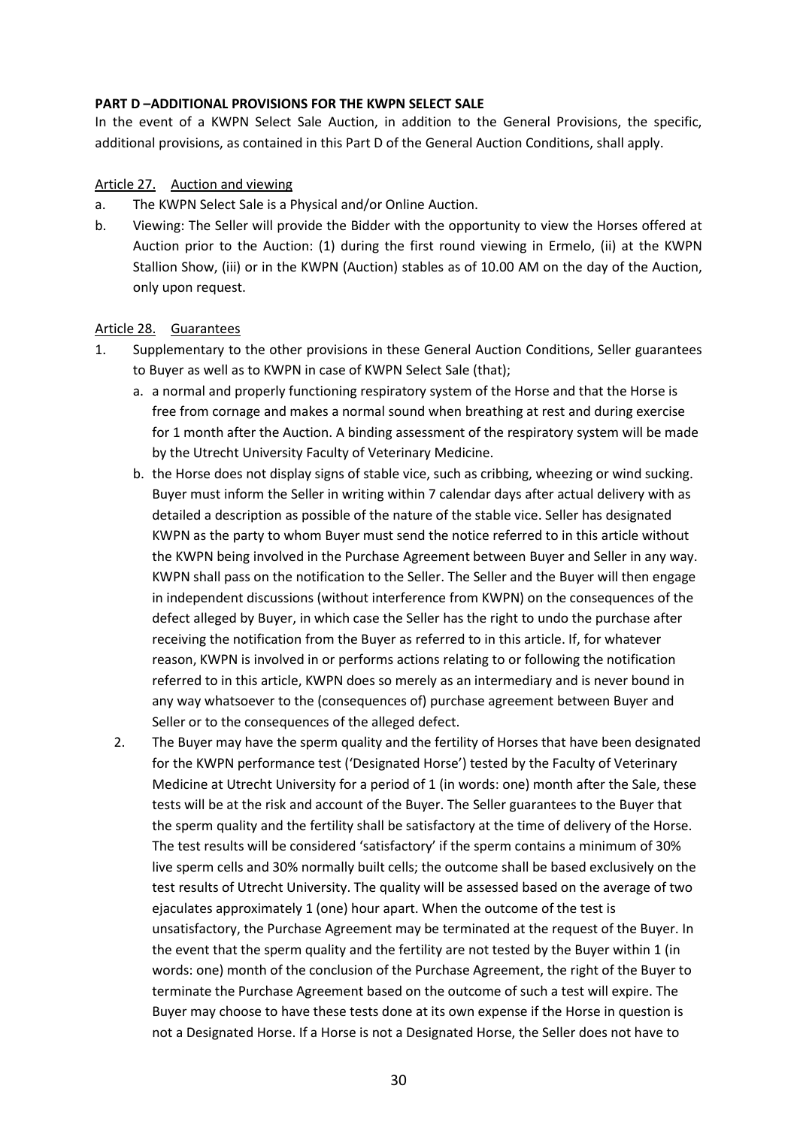#### **PART D –ADDITIONAL PROVISIONS FOR THE KWPN SELECT SALE**

In the event of a KWPN Select Sale Auction, in addition to the General Provisions, the specific, additional provisions, as contained in this Part D of the General Auction Conditions, shall apply.

#### Article 27. Auction and viewing

- a. The KWPN Select Sale is a Physical and/or Online Auction.
- b. Viewing: The Seller will provide the Bidder with the opportunity to view the Horses offered at Auction prior to the Auction: (1) during the first round viewing in Ermelo, (ii) at the KWPN Stallion Show, (iii) or in the KWPN (Auction) stables as of 10.00 AM on the day of the Auction, only upon request.

#### Article 28. Guarantees

- 1. Supplementary to the other provisions in these General Auction Conditions, Seller guarantees to Buyer as well as to KWPN in case of KWPN Select Sale (that);
	- a. a normal and properly functioning respiratory system of the Horse and that the Horse is free from cornage and makes a normal sound when breathing at rest and during exercise for 1 month after the Auction. A binding assessment of the respiratory system will be made by the Utrecht University Faculty of Veterinary Medicine.
	- b. the Horse does not display signs of stable vice, such as cribbing, wheezing or wind sucking. Buyer must inform the Seller in writing within 7 calendar days after actual delivery with as detailed a description as possible of the nature of the stable vice. Seller has designated KWPN as the party to whom Buyer must send the notice referred to in this article without the KWPN being involved in the Purchase Agreement between Buyer and Seller in any way. KWPN shall pass on the notification to the Seller. The Seller and the Buyer will then engage in independent discussions (without interference from KWPN) on the consequences of the defect alleged by Buyer, in which case the Seller has the right to undo the purchase after receiving the notification from the Buyer as referred to in this article. If, for whatever reason, KWPN is involved in or performs actions relating to or following the notification referred to in this article, KWPN does so merely as an intermediary and is never bound in any way whatsoever to the (consequences of) purchase agreement between Buyer and Seller or to the consequences of the alleged defect.
	- 2. The Buyer may have the sperm quality and the fertility of Horses that have been designated for the KWPN performance test ('Designated Horse') tested by the Faculty of Veterinary Medicine at Utrecht University for a period of 1 (in words: one) month after the Sale, these tests will be at the risk and account of the Buyer. The Seller guarantees to the Buyer that the sperm quality and the fertility shall be satisfactory at the time of delivery of the Horse. The test results will be considered 'satisfactory' if the sperm contains a minimum of 30% live sperm cells and 30% normally built cells; the outcome shall be based exclusively on the test results of Utrecht University. The quality will be assessed based on the average of two ejaculates approximately 1 (one) hour apart. When the outcome of the test is unsatisfactory, the Purchase Agreement may be terminated at the request of the Buyer. In the event that the sperm quality and the fertility are not tested by the Buyer within 1 (in words: one) month of the conclusion of the Purchase Agreement, the right of the Buyer to terminate the Purchase Agreement based on the outcome of such a test will expire. The Buyer may choose to have these tests done at its own expense if the Horse in question is not a Designated Horse. If a Horse is not a Designated Horse, the Seller does not have to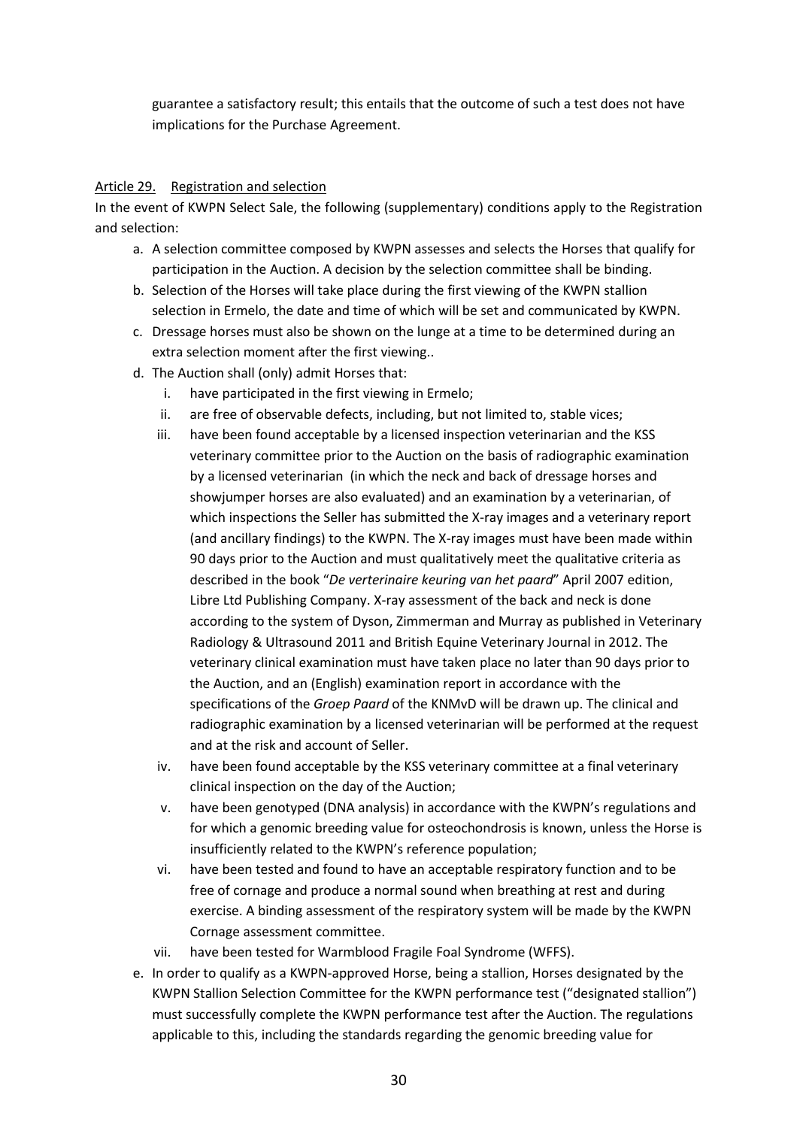guarantee a satisfactory result; this entails that the outcome of such a test does not have implications for the Purchase Agreement.

#### Article 29. Registration and selection

In the event of KWPN Select Sale, the following (supplementary) conditions apply to the Registration and selection:

- a. A selection committee composed by KWPN assesses and selects the Horses that qualify for participation in the Auction. A decision by the selection committee shall be binding.
- b. Selection of the Horses will take place during the first viewing of the KWPN stallion selection in Ermelo, the date and time of which will be set and communicated by KWPN.
- c. Dressage horses must also be shown on the lunge at a time to be determined during an extra selection moment after the first viewing..
- d. The Auction shall (only) admit Horses that:
	- i. have participated in the first viewing in Ermelo;
	- ii. are free of observable defects, including, but not limited to, stable vices;
	- iii. have been found acceptable by a licensed inspection veterinarian and the KSS veterinary committee prior to the Auction on the basis of radiographic examination by a licensed veterinarian (in which the neck and back of dressage horses and showjumper horses are also evaluated) and an examination by a veterinarian, of which inspections the Seller has submitted the X-ray images and a veterinary report (and ancillary findings) to the KWPN. The X-ray images must have been made within 90 days prior to the Auction and must qualitatively meet the qualitative criteria as described in the book "*De verterinaire keuring van het paard*" April 2007 edition, Libre Ltd Publishing Company. X-ray assessment of the back and neck is done according to the system of Dyson, Zimmerman and Murray as published in Veterinary Radiology & Ultrasound 2011 and British Equine Veterinary Journal in 2012. The veterinary clinical examination must have taken place no later than 90 days prior to the Auction, and an (English) examination report in accordance with the specifications of the *Groep Paard* of the KNMvD will be drawn up. The clinical and radiographic examination by a licensed veterinarian will be performed at the request and at the risk and account of Seller.
	- iv. have been found acceptable by the KSS veterinary committee at a final veterinary clinical inspection on the day of the Auction;
	- v. have been genotyped (DNA analysis) in accordance with the KWPN's regulations and for which a genomic breeding value for osteochondrosis is known, unless the Horse is insufficiently related to the KWPN's reference population;
	- vi. have been tested and found to have an acceptable respiratory function and to be free of cornage and produce a normal sound when breathing at rest and during exercise. A binding assessment of the respiratory system will be made by the KWPN Cornage assessment committee.
	- vii. have been tested for Warmblood Fragile Foal Syndrome (WFFS).
- e. In order to qualify as a KWPN-approved Horse, being a stallion, Horses designated by the KWPN Stallion Selection Committee for the KWPN performance test ("designated stallion") must successfully complete the KWPN performance test after the Auction. The regulations applicable to this, including the standards regarding the genomic breeding value for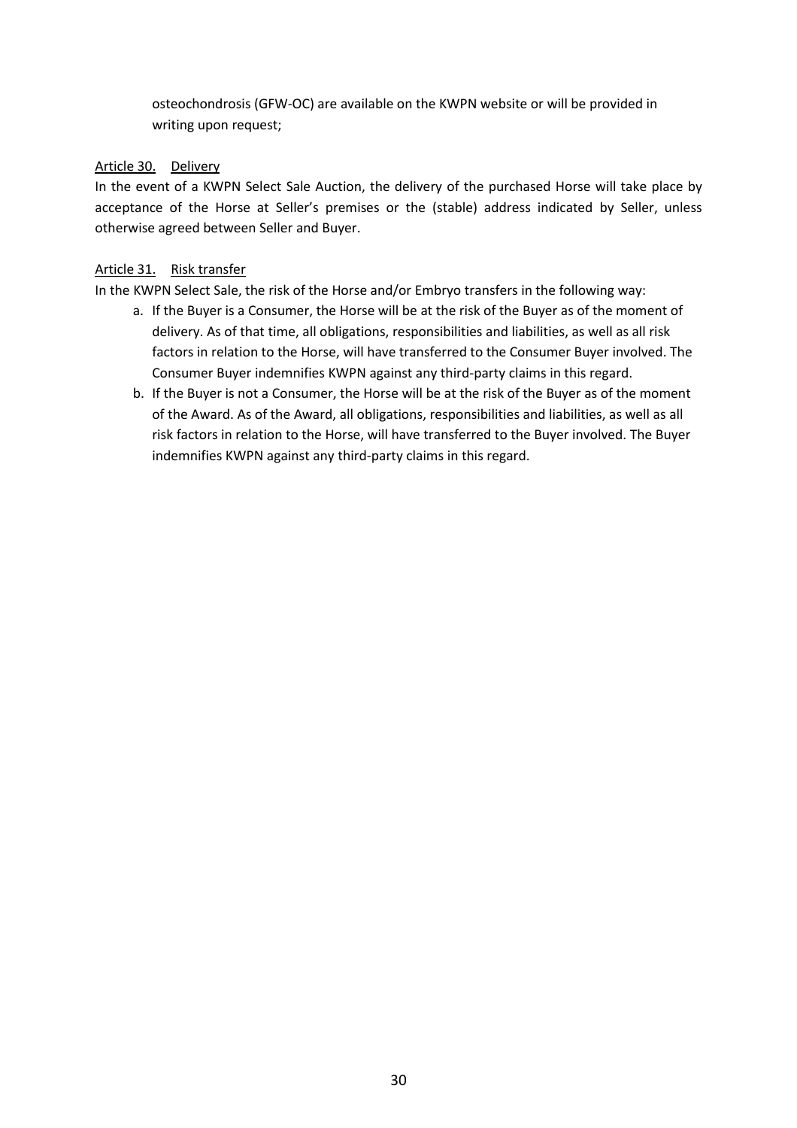osteochondrosis (GFW-OC) are available on the KWPN website or will be provided in writing upon request;

### Article 30. Delivery

In the event of a KWPN Select Sale Auction, the delivery of the purchased Horse will take place by acceptance of the Horse at Seller's premises or the (stable) address indicated by Seller, unless otherwise agreed between Seller and Buyer.

## Article 31. Risk transfer

In the KWPN Select Sale, the risk of the Horse and/or Embryo transfers in the following way:

- a. If the Buyer is a Consumer, the Horse will be at the risk of the Buyer as of the moment of delivery. As of that time, all obligations, responsibilities and liabilities, as well as all risk factors in relation to the Horse, will have transferred to the Consumer Buyer involved. The Consumer Buyer indemnifies KWPN against any third-party claims in this regard.
- b. If the Buyer is not a Consumer, the Horse will be at the risk of the Buyer as of the moment of the Award. As of the Award, all obligations, responsibilities and liabilities, as well as all risk factors in relation to the Horse, will have transferred to the Buyer involved. The Buyer indemnifies KWPN against any third-party claims in this regard.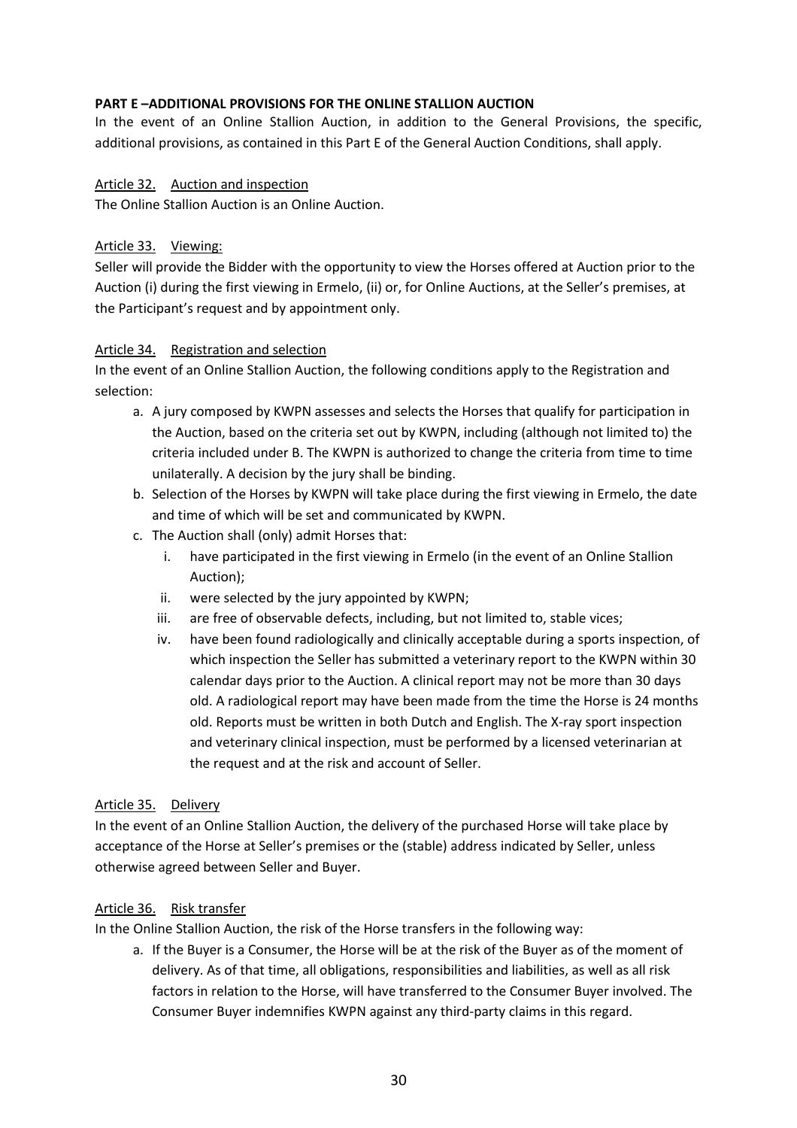### **PART E –ADDITIONAL PROVISIONS FOR THE ONLINE STALLION AUCTION**

In the event of an Online Stallion Auction, in addition to the General Provisions, the specific, additional provisions, as contained in this Part E of the General Auction Conditions, shall apply.

### Article 32. Auction and inspection

The Online Stallion Auction is an Online Auction.

#### Article 33. Viewing:

Seller will provide the Bidder with the opportunity to view the Horses offered at Auction prior to the Auction (i) during the first viewing in Ermelo, (ii) or, for Online Auctions, at the Seller's premises, at the Participant's request and by appointment only.

### Article 34. Registration and selection

In the event of an Online Stallion Auction, the following conditions apply to the Registration and selection:

- a. A jury composed by KWPN assesses and selects the Horses that qualify for participation in the Auction, based on the criteria set out by KWPN, including (although not limited to) the criteria included under B. The KWPN is authorized to change the criteria from time to time unilaterally. A decision by the jury shall be binding.
- b. Selection of the Horses by KWPN will take place during the first viewing in Ermelo, the date and time of which will be set and communicated by KWPN.
- c. The Auction shall (only) admit Horses that:
	- i. have participated in the first viewing in Ermelo (in the event of an Online Stallion Auction);
	- ii. were selected by the jury appointed by KWPN;
	- iii. are free of observable defects, including, but not limited to, stable vices;
	- iv. have been found radiologically and clinically acceptable during a sports inspection, of which inspection the Seller has submitted a veterinary report to the KWPN within 30 calendar days prior to the Auction. A clinical report may not be more than 30 days old. A radiological report may have been made from the time the Horse is 24 months old. Reports must be written in both Dutch and English. The X-ray sport inspection and veterinary clinical inspection, must be performed by a licensed veterinarian at the request and at the risk and account of Seller.

### Article 35. Delivery

In the event of an Online Stallion Auction, the delivery of the purchased Horse will take place by acceptance of the Horse at Seller's premises or the (stable) address indicated by Seller, unless otherwise agreed between Seller and Buyer.

### Article 36. Risk transfer

In the Online Stallion Auction, the risk of the Horse transfers in the following way:

a. If the Buyer is a Consumer, the Horse will be at the risk of the Buyer as of the moment of delivery. As of that time, all obligations, responsibilities and liabilities, as well as all risk factors in relation to the Horse, will have transferred to the Consumer Buyer involved. The Consumer Buyer indemnifies KWPN against any third-party claims in this regard.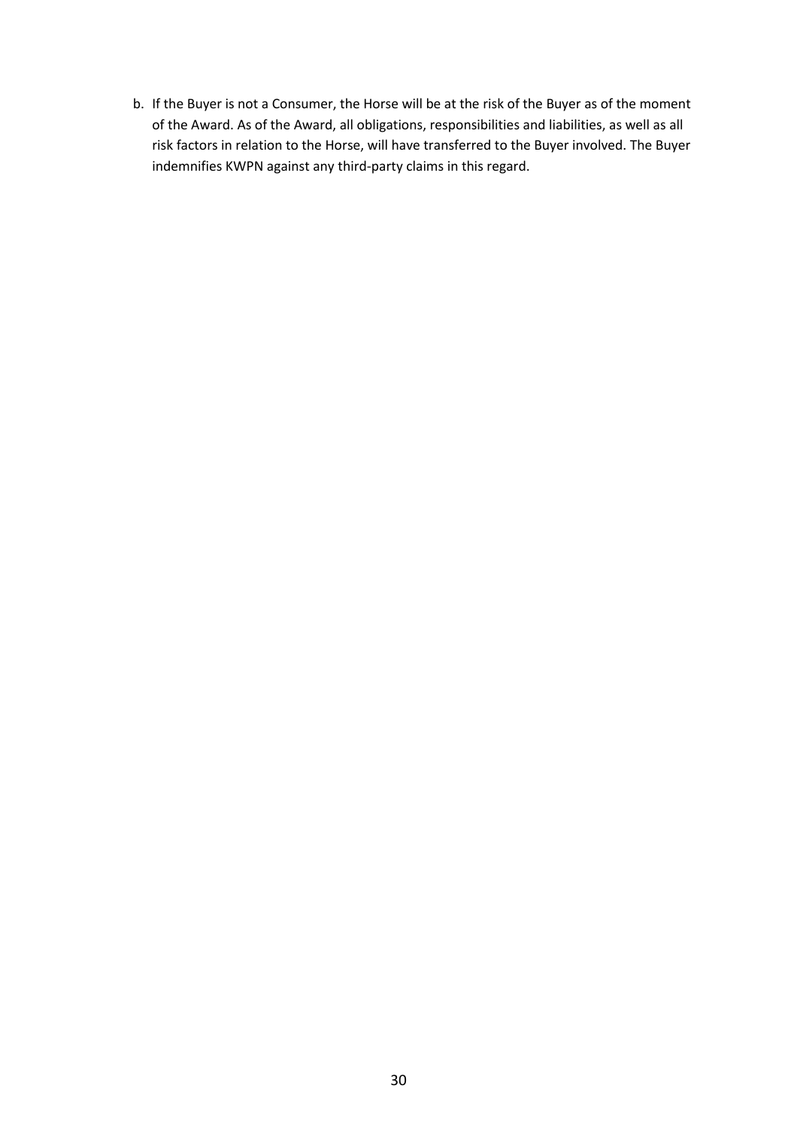b. If the Buyer is not a Consumer, the Horse will be at the risk of the Buyer as of the moment of the Award. As of the Award, all obligations, responsibilities and liabilities, as well as all risk factors in relation to the Horse, will have transferred to the Buyer involved. The Buyer indemnifies KWPN against any third-party claims in this regard.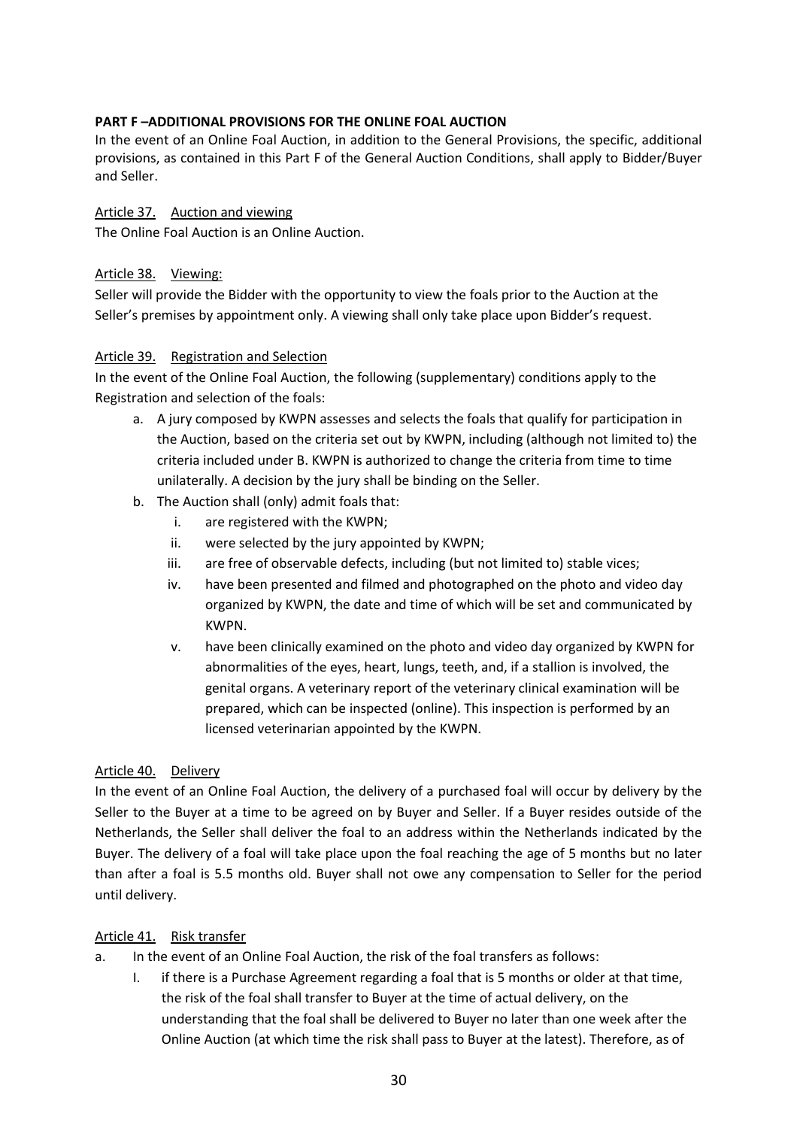## **PART F –ADDITIONAL PROVISIONS FOR THE ONLINE FOAL AUCTION**

In the event of an Online Foal Auction, in addition to the General Provisions, the specific, additional provisions, as contained in this Part F of the General Auction Conditions, shall apply to Bidder/Buyer and Seller.

Article 37. Auction and viewing

The Online Foal Auction is an Online Auction.

### Article 38. Viewing:

Seller will provide the Bidder with the opportunity to view the foals prior to the Auction at the Seller's premises by appointment only. A viewing shall only take place upon Bidder's request.

### Article 39. Registration and Selection

In the event of the Online Foal Auction, the following (supplementary) conditions apply to the Registration and selection of the foals:

- a. A jury composed by KWPN assesses and selects the foals that qualify for participation in the Auction, based on the criteria set out by KWPN, including (although not limited to) the criteria included under B. KWPN is authorized to change the criteria from time to time unilaterally. A decision by the jury shall be binding on the Seller.
- b. The Auction shall (only) admit foals that:
	- i. are registered with the KWPN;
	- ii. were selected by the jury appointed by KWPN;
	- iii. are free of observable defects, including (but not limited to) stable vices;
	- iv. have been presented and filmed and photographed on the photo and video day organized by KWPN, the date and time of which will be set and communicated by KWPN.
	- v. have been clinically examined on the photo and video day organized by KWPN for abnormalities of the eyes, heart, lungs, teeth, and, if a stallion is involved, the genital organs. A veterinary report of the veterinary clinical examination will be prepared, which can be inspected (online). This inspection is performed by an licensed veterinarian appointed by the KWPN.

### Article 40. Delivery

In the event of an Online Foal Auction, the delivery of a purchased foal will occur by delivery by the Seller to the Buyer at a time to be agreed on by Buyer and Seller. If a Buyer resides outside of the Netherlands, the Seller shall deliver the foal to an address within the Netherlands indicated by the Buyer. The delivery of a foal will take place upon the foal reaching the age of 5 months but no later than after a foal is 5.5 months old. Buyer shall not owe any compensation to Seller for the period until delivery.

### Article 41. Risk transfer

- a. In the event of an Online Foal Auction, the risk of the foal transfers as follows:
	- I. if there is a Purchase Agreement regarding a foal that is 5 months or older at that time, the risk of the foal shall transfer to Buyer at the time of actual delivery, on the understanding that the foal shall be delivered to Buyer no later than one week after the Online Auction (at which time the risk shall pass to Buyer at the latest). Therefore, as of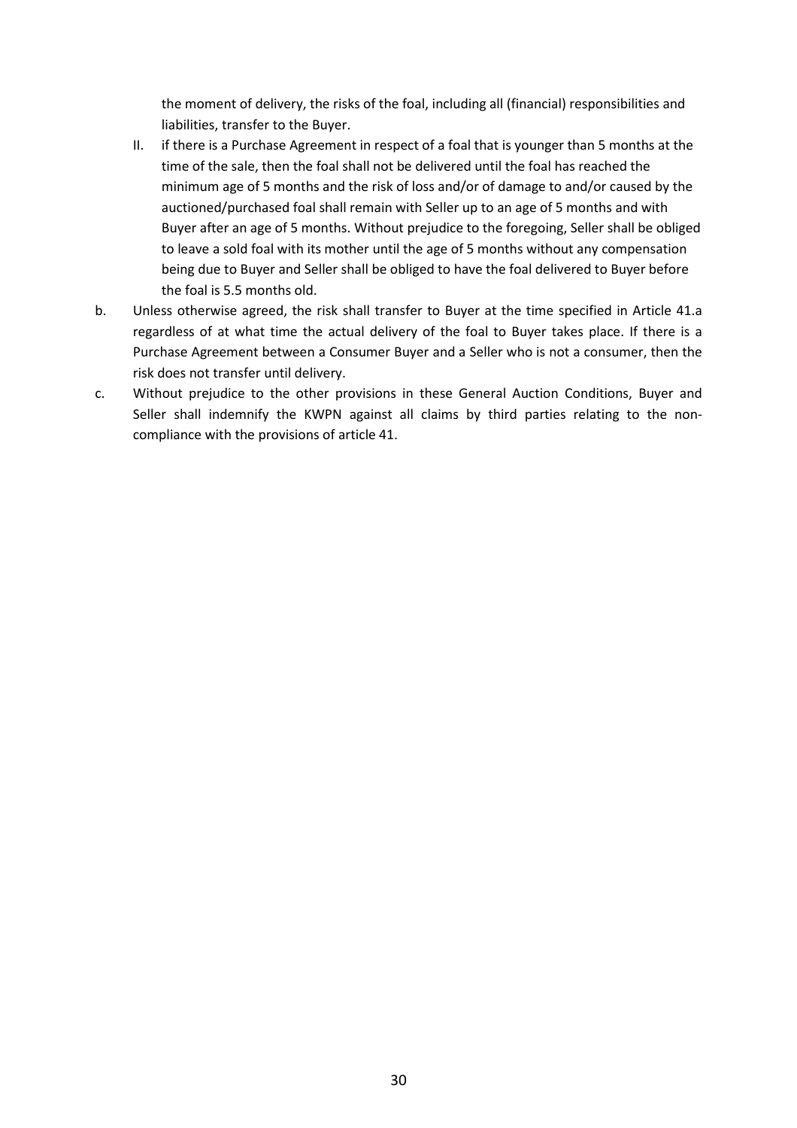the moment of delivery, the risks of the foal, including all (financial) responsibilities and liabilities, transfer to the Buyer.

- II. if there is a Purchase Agreement in respect of a foal that is younger than 5 months at the time of the sale, then the foal shall not be delivered until the foal has reached the minimum age of 5 months and the risk of loss and/or of damage to and/or caused by the auctioned/purchased foal shall remain with Seller up to an age of 5 months and with Buyer after an age of 5 months. Without prejudice to the foregoing, Seller shall be obliged to leave a sold foal with its mother until the age of 5 months without any compensation being due to Buyer and Seller shall be obliged to have the foal delivered to Buyer before the foal is 5.5 months old.
- b. Unless otherwise agreed, the risk shall transfer to Buyer at the time specified in Article 41.a regardless of at what time the actual delivery of the foal to Buyer takes place. If there is a Purchase Agreement between a Consumer Buyer and a Seller who is not a consumer, then the risk does not transfer until delivery.
- c. Without prejudice to the other provisions in these General Auction Conditions, Buyer and Seller shall indemnify the KWPN against all claims by third parties relating to the noncompliance with the provisions of article 41.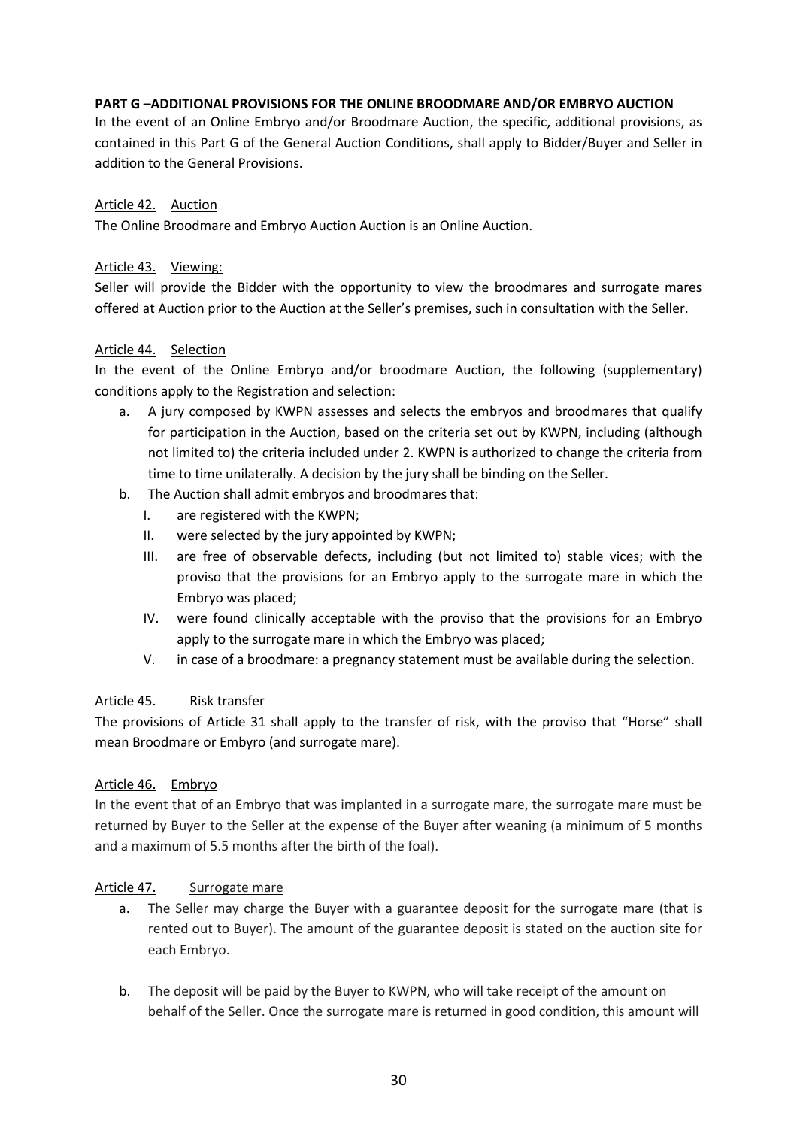### **PART G –ADDITIONAL PROVISIONS FOR THE ONLINE BROODMARE AND/OR EMBRYO AUCTION**

In the event of an Online Embryo and/or Broodmare Auction, the specific, additional provisions, as contained in this Part G of the General Auction Conditions, shall apply to Bidder/Buyer and Seller in addition to the General Provisions.

#### Article 42. Auction

The Online Broodmare and Embryo Auction Auction is an Online Auction.

#### Article 43. Viewing:

Seller will provide the Bidder with the opportunity to view the broodmares and surrogate mares offered at Auction prior to the Auction at the Seller's premises, such in consultation with the Seller.

### Article 44. Selection

In the event of the Online Embryo and/or broodmare Auction, the following (supplementary) conditions apply to the Registration and selection:

- a. A jury composed by KWPN assesses and selects the embryos and broodmares that qualify for participation in the Auction, based on the criteria set out by KWPN, including (although not limited to) the criteria included under 2. KWPN is authorized to change the criteria from time to time unilaterally. A decision by the jury shall be binding on the Seller.
- b. The Auction shall admit embryos and broodmares that:
	- I. are registered with the KWPN;
	- II. were selected by the jury appointed by KWPN;
	- III. are free of observable defects, including (but not limited to) stable vices; with the proviso that the provisions for an Embryo apply to the surrogate mare in which the Embryo was placed;
	- IV. were found clinically acceptable with the proviso that the provisions for an Embryo apply to the surrogate mare in which the Embryo was placed;
	- V. in case of a broodmare: a pregnancy statement must be available during the selection.

### Article 45. Risk transfer

The provisions of Article 31 shall apply to the transfer of risk, with the proviso that "Horse" shall mean Broodmare or Embyro (and surrogate mare).

### Article 46. Embryo

In the event that of an Embryo that was implanted in a surrogate mare, the surrogate mare must be returned by Buyer to the Seller at the expense of the Buyer after weaning (a minimum of 5 months and a maximum of 5.5 months after the birth of the foal).

### Article 47. Surrogate mare

- a. The Seller may charge the Buyer with a guarantee deposit for the surrogate mare (that is rented out to Buyer). The amount of the guarantee deposit is stated on the auction site for each Embryo.
- b. The deposit will be paid by the Buyer to KWPN, who will take receipt of the amount on behalf of the Seller. Once the surrogate mare is returned in good condition, this amount will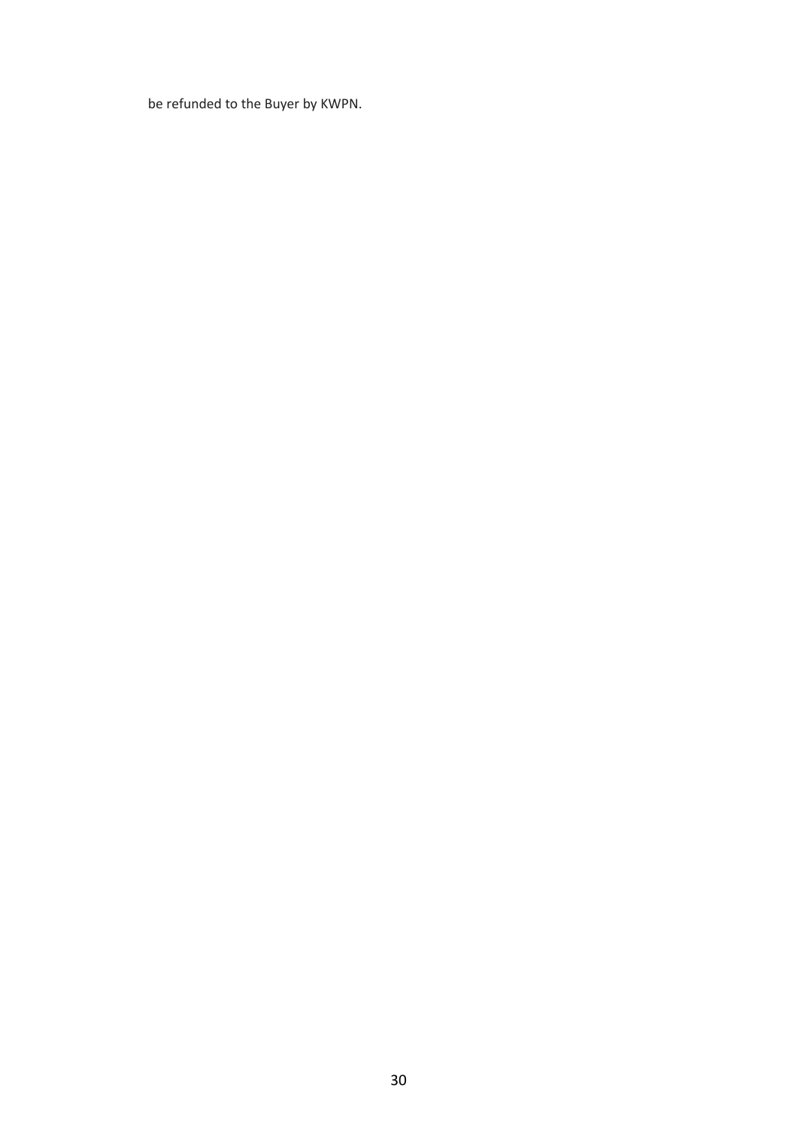be refunded to the Buyer by KWPN.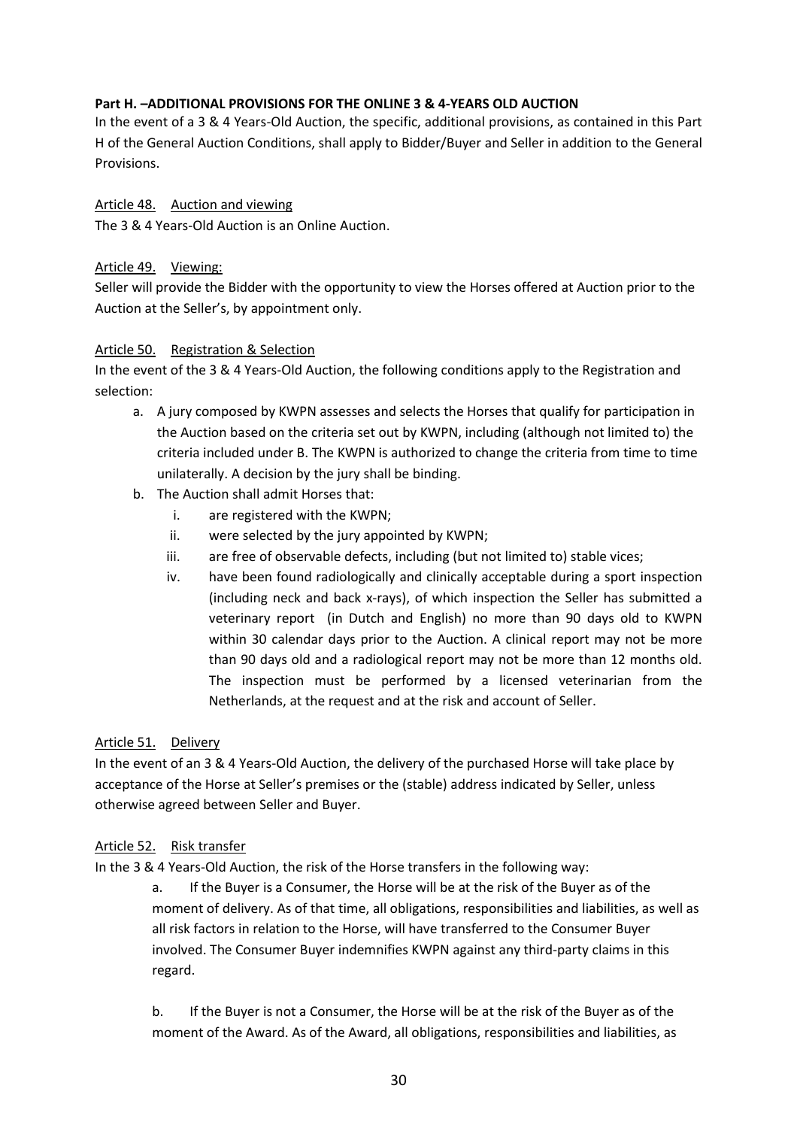### **Part H. –ADDITIONAL PROVISIONS FOR THE ONLINE 3 & 4-YEARS OLD AUCTION**

In the event of a 3 & 4 Years-Old Auction, the specific, additional provisions, as contained in this Part H of the General Auction Conditions, shall apply to Bidder/Buyer and Seller in addition to the General Provisions.

# Article 48. Auction and viewing

The 3 & 4 Years-Old Auction is an Online Auction.

### Article 49. Viewing:

Seller will provide the Bidder with the opportunity to view the Horses offered at Auction prior to the Auction at the Seller's, by appointment only.

### Article 50. Registration & Selection

In the event of the 3 & 4 Years-Old Auction, the following conditions apply to the Registration and selection:

- a. A jury composed by KWPN assesses and selects the Horses that qualify for participation in the Auction based on the criteria set out by KWPN, including (although not limited to) the criteria included under B. The KWPN is authorized to change the criteria from time to time unilaterally. A decision by the jury shall be binding.
- b. The Auction shall admit Horses that:
	- i. are registered with the KWPN;
	- ii. were selected by the jury appointed by KWPN;
	- iii. are free of observable defects, including (but not limited to) stable vices;
	- iv. have been found radiologically and clinically acceptable during a sport inspection (including neck and back x-rays), of which inspection the Seller has submitted a veterinary report (in Dutch and English) no more than 90 days old to KWPN within 30 calendar days prior to the Auction. A clinical report may not be more than 90 days old and a radiological report may not be more than 12 months old. The inspection must be performed by a licensed veterinarian from the Netherlands, at the request and at the risk and account of Seller.

### Article 51. Delivery

In the event of an 3 & 4 Years-Old Auction, the delivery of the purchased Horse will take place by acceptance of the Horse at Seller's premises or the (stable) address indicated by Seller, unless otherwise agreed between Seller and Buyer.

### Article 52. Risk transfer

In the 3 & 4 Years-Old Auction, the risk of the Horse transfers in the following way:

a. If the Buyer is a Consumer, the Horse will be at the risk of the Buyer as of the moment of delivery. As of that time, all obligations, responsibilities and liabilities, as well as all risk factors in relation to the Horse, will have transferred to the Consumer Buyer involved. The Consumer Buyer indemnifies KWPN against any third-party claims in this regard.

b. If the Buyer is not a Consumer, the Horse will be at the risk of the Buyer as of the moment of the Award. As of the Award, all obligations, responsibilities and liabilities, as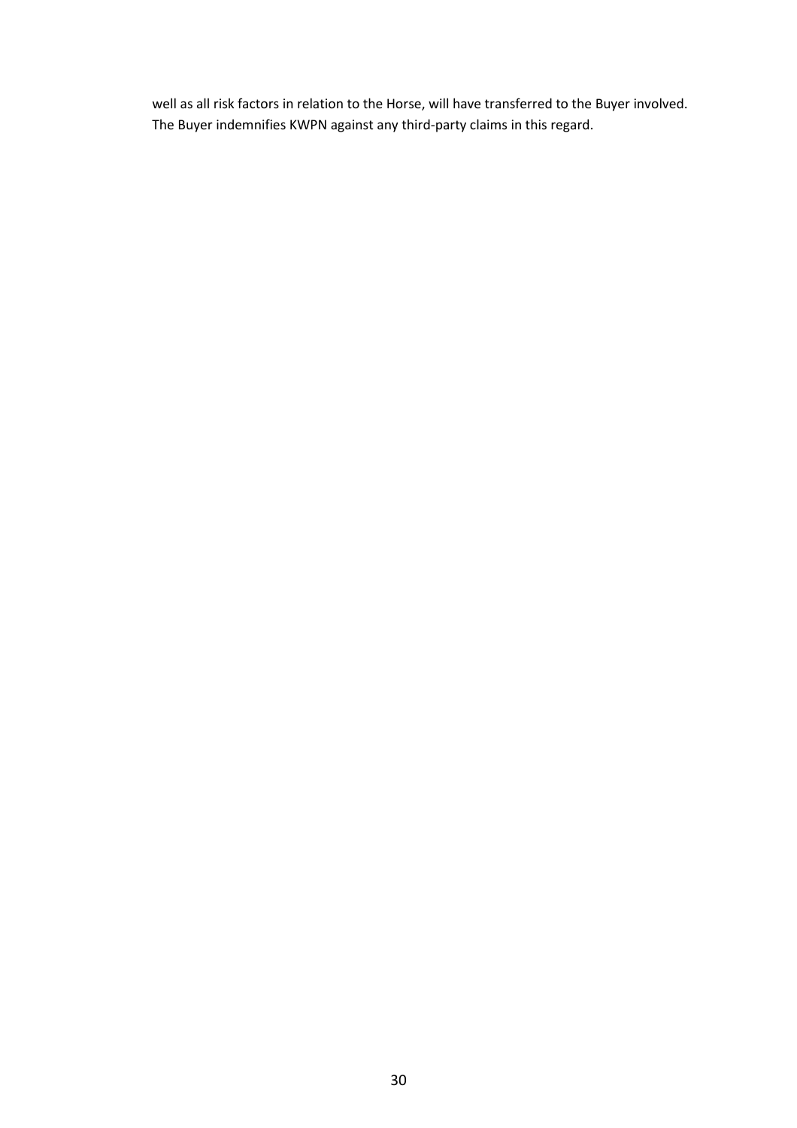well as all risk factors in relation to the Horse, will have transferred to the Buyer involved. The Buyer indemnifies KWPN against any third-party claims in this regard.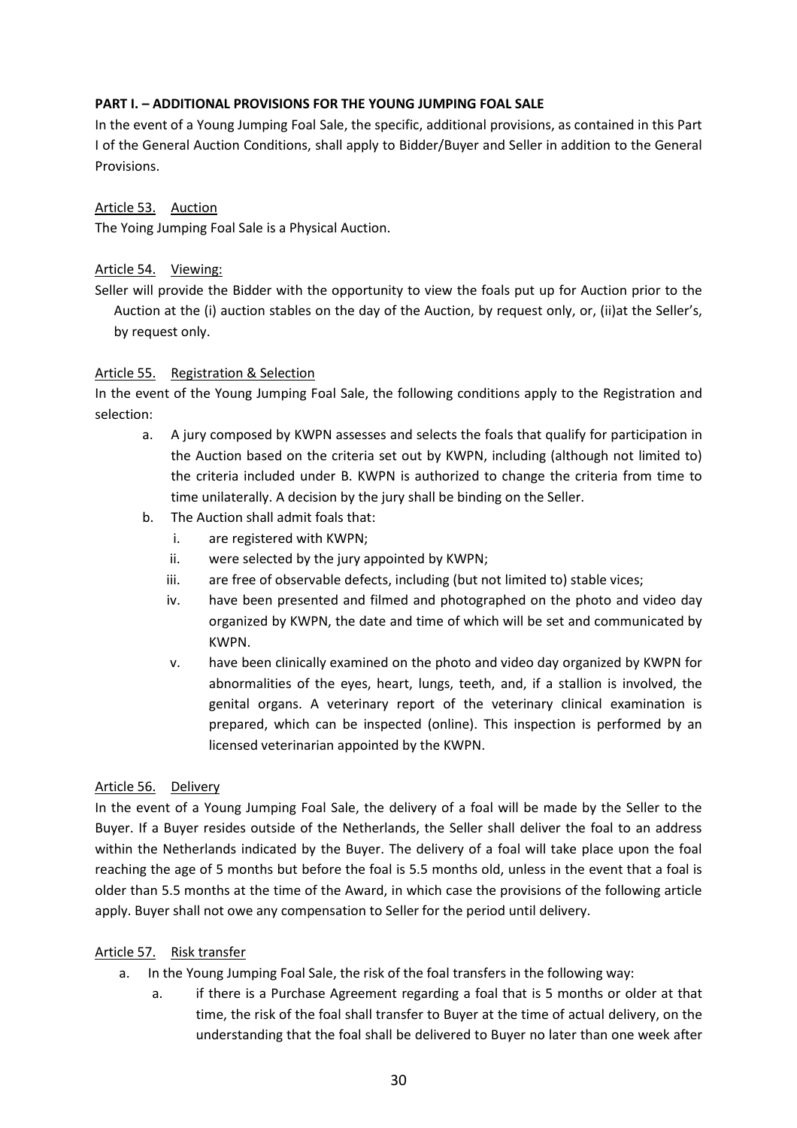## **PART I. – ADDITIONAL PROVISIONS FOR THE YOUNG JUMPING FOAL SALE**

In the event of a Young Jumping Foal Sale, the specific, additional provisions, as contained in this Part I of the General Auction Conditions, shall apply to Bidder/Buyer and Seller in addition to the General Provisions.

### Article 53. Auction

The Yoing Jumping Foal Sale is a Physical Auction.

#### Article 54. Viewing:

Seller will provide the Bidder with the opportunity to view the foals put up for Auction prior to the Auction at the (i) auction stables on the day of the Auction, by request only, or, (ii)at the Seller's, by request only.

#### Article 55. Registration & Selection

In the event of the Young Jumping Foal Sale, the following conditions apply to the Registration and selection:

- a. A jury composed by KWPN assesses and selects the foals that qualify for participation in the Auction based on the criteria set out by KWPN, including (although not limited to) the criteria included under B. KWPN is authorized to change the criteria from time to time unilaterally. A decision by the jury shall be binding on the Seller.
- b. The Auction shall admit foals that:
	- i. are registered with KWPN;
	- ii. were selected by the jury appointed by KWPN;
	- iii. are free of observable defects, including (but not limited to) stable vices;
	- iv. have been presented and filmed and photographed on the photo and video day organized by KWPN, the date and time of which will be set and communicated by KWPN.
	- v. have been clinically examined on the photo and video day organized by KWPN for abnormalities of the eyes, heart, lungs, teeth, and, if a stallion is involved, the genital organs. A veterinary report of the veterinary clinical examination is prepared, which can be inspected (online). This inspection is performed by an licensed veterinarian appointed by the KWPN.

### Article 56. Delivery

In the event of a Young Jumping Foal Sale, the delivery of a foal will be made by the Seller to the Buyer. If a Buyer resides outside of the Netherlands, the Seller shall deliver the foal to an address within the Netherlands indicated by the Buyer. The delivery of a foal will take place upon the foal reaching the age of 5 months but before the foal is 5.5 months old, unless in the event that a foal is older than 5.5 months at the time of the Award, in which case the provisions of the following article apply. Buyer shall not owe any compensation to Seller for the period until delivery.

### Article 57. Risk transfer

- a. In the Young Jumping Foal Sale, the risk of the foal transfers in the following way:
	- a. if there is a Purchase Agreement regarding a foal that is 5 months or older at that time, the risk of the foal shall transfer to Buyer at the time of actual delivery, on the understanding that the foal shall be delivered to Buyer no later than one week after